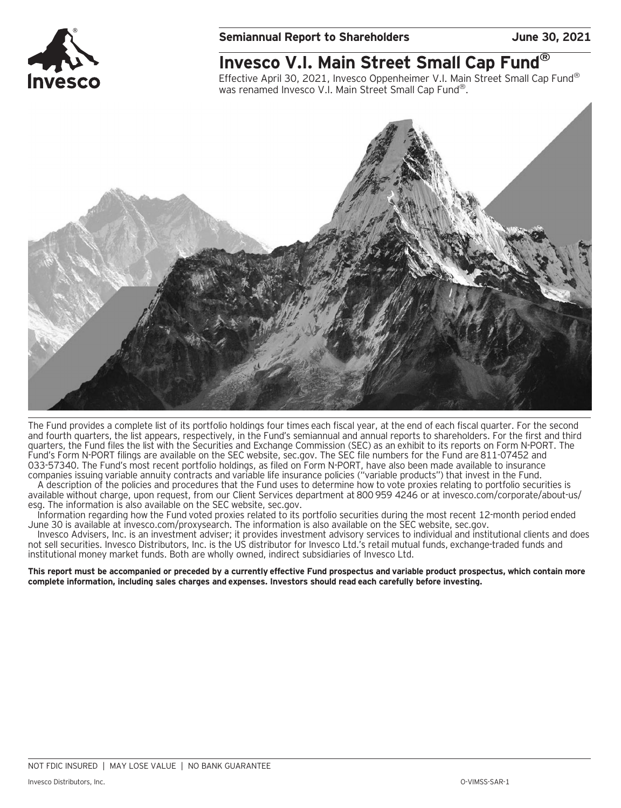

# **Invesco V.I. Main Street Small Cap Fund®**

Effective April 30, 2021, Invesco Oppenheimer V.I. Main Street Small Cap Fund® was renamed Invesco V.I. Main Street Small Cap Fund<sup>®</sup>.



The Fund provides a complete list of its portfolio holdings four times each fiscal year, at the end of each fiscal quarter. For the second and fourth quarters, the list appears, respectively, in the Fund's semiannual and annual reports to shareholders. For the first and third quarters, the Fund files the list with the Securities and Exchange Commission (SEC) as an exhibit to its reports on Form N-PORT. The Fund's Form N-PORT filings are available on the SEC website, sec.gov. The SEC file numbers for the Fund are 811-07452 and 033-57340. The Fund's most recent portfolio holdings, as filed on Form N-PORT, have also been made available to insurance companies issuing variable annuity contracts and variable life insurance policies ("variable products") that invest in the Fund.

A description of the policies and procedures that the Fund uses to determine how to vote proxies relating to portfolio securities is available without charge, upon request, from our Client Services department at 800 959 4246 or at invesco.com/corporate/about-us/ esg. The information is also available on the SEC website, sec.gov.

Information regarding how the Fund voted proxies related to its portfolio securities during the most recent 12-month period ended June 30 is available at invesco.com/proxysearch. The information is also available on the SEC website, sec.gov.

Invesco Advisers, Inc. is an investment adviser; it provides investment advisory services to individual and institutional clients and does not sell securities. Invesco Distributors, Inc. is the US distributor for Invesco Ltd.'s retail mutual funds, exchange-traded funds and institutional money market funds. Both are wholly owned, indirect subsidiaries of Invesco Ltd.

**This report must be accompanied or preceded by a currently effective Fund prospectus and variable product prospectus, which contain more complete information, including sales charges and expenses. Investors should read each carefully before investing.**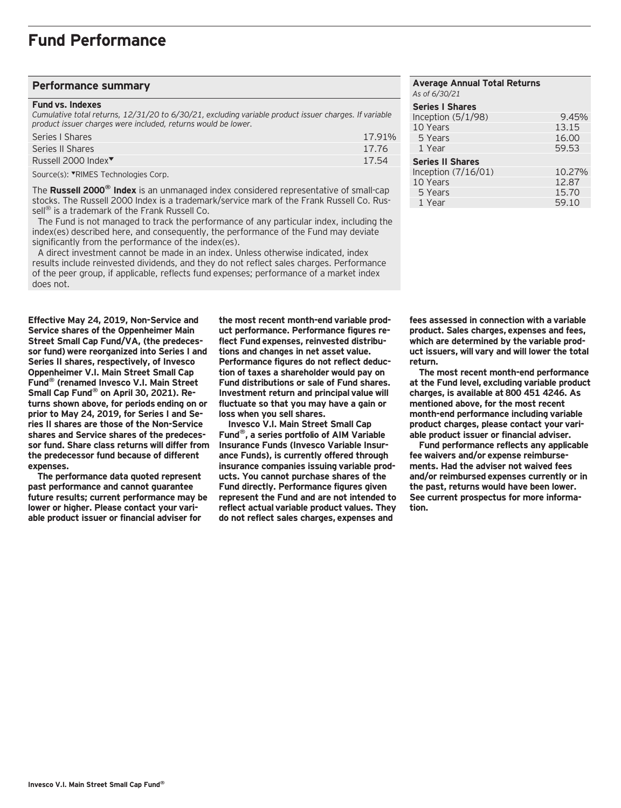#### **Performance summary**

#### **Fund vs. Indexes**

*Cumulative total returns, 12/31/20 to 6/30/21, excluding variable product issuer charges. If variable product issuer charges were included, returns would be lower.*

| Series   Shares                 | 17.91% |
|---------------------------------|--------|
| Series II Shares                | 17.76  |
| Russell 2000 Index <sup>▼</sup> | 17.54  |
|                                 |        |

Source(s): VRIMES Technologies Corp.

The **Russell 2000® Index** is an unmanaged index considered representative of small-cap stocks. The Russell 2000 Index is a trademark/service mark of the Frank Russell Co. Russell<sup>®</sup> is a trademark of the Frank Russell Co.

 The Fund is not managed to track the performance of any particular index, including the index(es) described here, and consequently, the performance of the Fund may deviate significantly from the performance of the index(es).

 A direct investment cannot be made in an index. Unless otherwise indicated, index results include reinvested dividends, and they do not reflect sales charges. Performance of the peer group, if applicable, reflects fund expenses; performance of a market index does not.

**Effective May 24, 2019, Non-Service and Service shares of the Oppenheimer Main Street Small Cap Fund/VA, (the predecessor fund) were reorganized into Series I and Series II shares, respectively, of Invesco Oppenheimer V.I. Main Street Small Cap Fund® (renamed Invesco V.I. Main Street Small Cap Fund® on April 30, 2021). Returns shown above, for periods ending on or prior to May 24, 2019, for Series I and Series II shares are those of the Non-Service shares and Service shares of the predecessor fund. Share class returns will differ from the predecessor fund because of different expenses.**

**The performance data quoted represent past performance and cannot guarantee future results; current performance may be lower or higher. Please contact your variable product issuer or financial adviser for**

**the most recent month-end variable product performance. Performance figures reflect Fund expenses, reinvested distributions and changes in net asset value. Performance figures do not reflect deduction of taxes a shareholder would pay on Fund distributions or sale of Fund shares. Investment return and principal value will fluctuate so that you may have a gain or loss when you sell shares.**

**Invesco V.I. Main Street Small Cap Fund®, a series portfolio of AIM Variable Insurance Funds (Invesco Variable Insurance Funds), is currently offered through insurance companies issuing variable products. You cannot purchase shares of the Fund directly. Performance figures given represent the Fund and are not intended to reflect actual variable product values. They do not reflect sales charges, expenses and**

#### **Average Annual Total Returns** *As of 6/30/21* **Series I Shares**  Inception (5/1/98) 9.45%<br>10 Years 13.15 10 Years 5 Years 16.00 1 Year 59.53 **Series II Shares**  Inception (7/16/01) 10.27%<br>10 Years 12.87 10 Years 12.87<br>15.70 15.70 5 Years 15.70<br>1 Year 1981 - 15.70<br>1 Year 1991 - 159.10 1 Year

**fees assessed in connection with a variable product. Sales charges, expenses and fees, which are determined by the variable product issuers, will vary and will lower the total return.**

**The most recent month-end performance at the Fund level, excluding variable product charges, is available at 800 451 4246. As mentioned above, for the most recent month-end performance including variable product charges, please contact your variable product issuer or financial adviser.**

**Fund performance reflects any applicable fee waivers and/or expense reimbursements. Had the adviser not waived fees and/or reimbursed expenses currently or in the past, returns would have been lower. See current prospectus for more information.**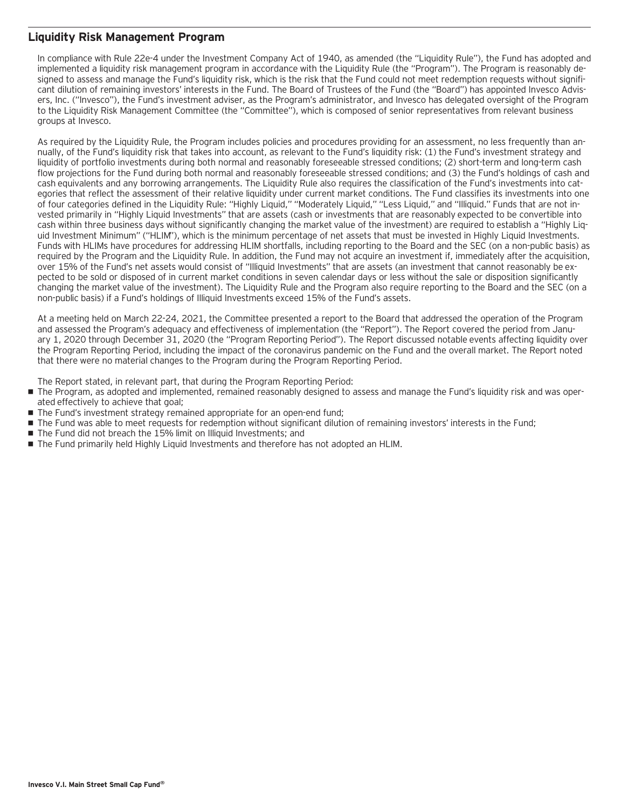#### **Liquidity Risk Management Program**

In compliance with Rule 22e-4 under the Investment Company Act of 1940, as amended (the "Liquidity Rule"), the Fund has adopted and implemented a liquidity risk management program in accordance with the Liquidity Rule (the "Program"). The Program is reasonably designed to assess and manage the Fund's liquidity risk, which is the risk that the Fund could not meet redemption requests without significant dilution of remaining investors' interests in the Fund. The Board of Trustees of the Fund (the "Board") has appointed Invesco Advisers, Inc. ("Invesco"), the Fund's investment adviser, as the Program's administrator, and Invesco has delegated oversight of the Program to the Liquidity Risk Management Committee (the "Committee"), which is composed of senior representatives from relevant business groups at Invesco.

As required by the Liquidity Rule, the Program includes policies and procedures providing for an assessment, no less frequently than annually, of the Fund's liquidity risk that takes into account, as relevant to the Fund's liquidity risk: (1) the Fund's investment strategy and liquidity of portfolio investments during both normal and reasonably foreseeable stressed conditions; (2) short-term and long-term cash flow projections for the Fund during both normal and reasonably foreseeable stressed conditions; and (3) the Fund's holdings of cash and cash equivalents and any borrowing arrangements. The Liquidity Rule also requires the classification of the Fund's investments into categories that reflect the assessment of their relative liquidity under current market conditions. The Fund classifies its investments into one of four categories defined in the Liquidity Rule: "Highly Liquid," "Moderately Liquid," "Less Liquid," and "Illiquid." Funds that are not invested primarily in "Highly Liquid Investments" that are assets (cash or investments that are reasonably expected to be convertible into cash within three business days without significantly changing the market value of the investment) are required to establish a "Highly Liquid Investment Minimum" ("HLIM"), which is the minimum percentage of net assets that must be invested in Highly Liquid Investments. Funds with HLIMs have procedures for addressing HLIM shortfalls, including reporting to the Board and the SEC (on a non-public basis) as required by the Program and the Liquidity Rule. In addition, the Fund may not acquire an investment if, immediately after the acquisition, over 15% of the Fund's net assets would consist of "Illiquid Investments" that are assets (an investment that cannot reasonably be expected to be sold or disposed of in current market conditions in seven calendar days or less without the sale or disposition significantly changing the market value of the investment). The Liquidity Rule and the Program also require reporting to the Board and the SEC (on a non-public basis) if a Fund's holdings of Illiquid Investments exceed 15% of the Fund's assets.

At a meeting held on March 22-24, 2021, the Committee presented a report to the Board that addressed the operation of the Program and assessed the Program's adequacy and effectiveness of implementation (the "Report"). The Report covered the period from January 1, 2020 through December 31, 2020 (the "Program Reporting Period"). The Report discussed notable events affecting liquidity over the Program Reporting Period, including the impact of the coronavirus pandemic on the Fund and the overall market. The Report noted that there were no material changes to the Program during the Program Reporting Period.

The Report stated, in relevant part, that during the Program Reporting Period:

- The Program, as adopted and implemented, remained reasonably designed to assess and manage the Fund's liquidity risk and was operated effectively to achieve that goal;
- The Fund's investment strategy remained appropriate for an open-end fund;
- The Fund was able to meet requests for redemption without significant dilution of remaining investors' interests in the Fund;
- The Fund did not breach the 15% limit on Illiquid Investments; and
- The Fund primarily held Highly Liquid Investments and therefore has not adopted an HLIM.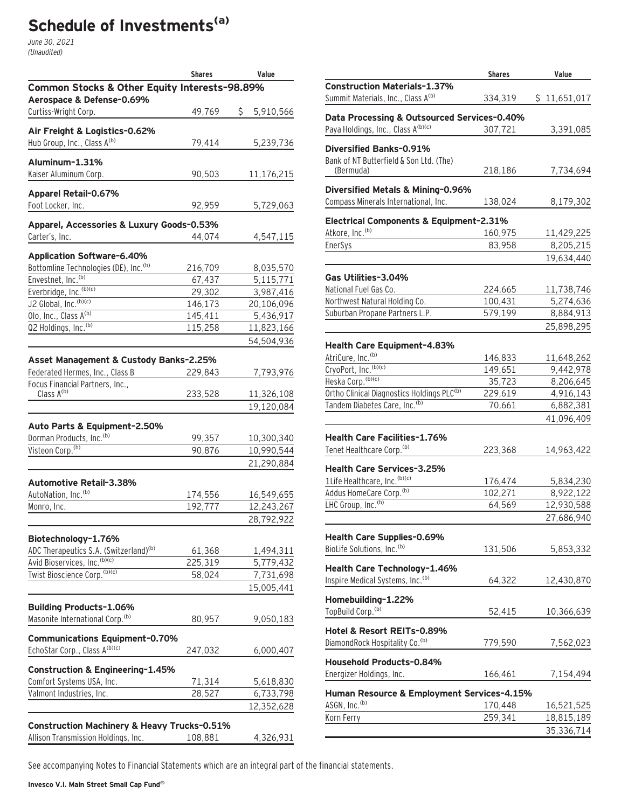# **Schedule of Investments(a)**

June 30, 2021 (Unaudited)

|                                                                            | <b>Shares</b>      | Value                    |
|----------------------------------------------------------------------------|--------------------|--------------------------|
| Common Stocks & Other Equity Interests-98.89%<br>Aerospace & Defense-0.69% |                    |                          |
| Curtiss-Wright Corp.                                                       | 49,769             | \$<br>5,910,566          |
| Air Freight & Logistics-0.62%                                              |                    |                          |
| Hub Group, Inc., Class A(b)                                                | 79,414             | 5,239,736                |
| Aluminum-1.31%                                                             |                    |                          |
| Kaiser Aluminum Corp.                                                      | 90,503             | 11,176,215               |
| Apparel Retail-0.67%                                                       |                    |                          |
| Foot Locker, Inc.                                                          | 92,959             | 5,729,063                |
| Apparel, Accessories & Luxury Goods-0.53%                                  |                    |                          |
| Carter's, Inc.                                                             | 44,074             | 4,547,115                |
| Application Software-6.40%                                                 |                    |                          |
| Bottomline Technologies (DE), Inc. <sup>(b)</sup>                          | 216,709            | 8,035,570                |
| Envestnet, Inc. <sup>(b)</sup>                                             | 67,437             | 5,115,771                |
| Everbridge, Inc. (b)(c)                                                    | 29,302             | 3,987,416                |
| J2 Global, Inc. (b)(c)                                                     | 146,173            | 20,106,096               |
| Olo, Inc., Class A(b)                                                      | 145,411            | 5,436,917                |
| Q2 Holdings, Inc. <sup>(b)</sup>                                           | 115,258            | 11,823,166               |
|                                                                            |                    | 54,504,936               |
| Asset Management & Custody Banks-2.25%                                     |                    |                          |
| Federated Hermes, Inc., Class B                                            | 229,843            | 7,793,976                |
| Focus Financial Partners, Inc.,                                            |                    |                          |
| Class $A^{(b)}$                                                            | 233,528            | 11,326,108               |
|                                                                            |                    | 19,120,084               |
| Auto Parts & Equipment-2.50%                                               |                    |                          |
| Dorman Products, Inc. (b)                                                  | 99,357             | 10,300,340               |
| Visteon Corp. <sup>(b)</sup>                                               | 90,876             | 10,990,544               |
|                                                                            |                    | 21,290,884               |
|                                                                            |                    |                          |
| Automotive Retail-3.38%<br>AutoNation, Inc. <sup>(b)</sup>                 |                    |                          |
| Monro, Inc.                                                                | 174,556<br>192,777 | 16,549,655<br>12,243,267 |
|                                                                            |                    |                          |
|                                                                            |                    | 28,792,922               |
| Biotechnology-1.76%                                                        |                    |                          |
| ADC Therapeutics S.A. (Switzerland) <sup>(b)</sup>                         | 61,368             | 1,494,311                |
| Avid Bioservices, Inc. (b)(c)                                              | 225,319            | 5,779,432                |
| Twist Bioscience Corp. (b)(c)                                              | 58,024             | 7,731,698                |
|                                                                            |                    | 15,005,441               |
| <b>Building Products-1.06%</b>                                             |                    |                          |
| Masonite International Corp. <sup>(b)</sup>                                | 80,957             | 9,050,183                |
|                                                                            |                    |                          |
| <b>Communications Equipment-0.70%</b><br>EchoStar Corp., Class A(b)(c)     |                    | 6,000,407                |
|                                                                            | 247,032            |                          |
| Construction & Engineering-1.45%                                           |                    |                          |
| Comfort Systems USA, Inc.                                                  | 71,314             | 5,618,830                |
| Valmont Industries, Inc.                                                   | 28,527             | 6,733,798                |
|                                                                            |                    | 12,352,628               |
| <b>Construction Machinery &amp; Heavy Trucks-0.51%</b>                     |                    |                          |
| Allison Transmission Holdings, Inc.                                        | 108,881            | 4,326,931                |

|                                                                           | <b>Shares</b>     | Value                  |
|---------------------------------------------------------------------------|-------------------|------------------------|
| <b>Construction Materials-1.37%</b><br>Summit Materials, Inc., Class A(b) | 334,319           | \$11,651,017           |
| Data Processing & Outsourced Services-0.40%                               |                   |                        |
| Paya Holdings, Inc., Class A(b)(c)                                        | 307,721           | 3,391,085              |
| Diversified Banks-0.91%                                                   |                   |                        |
| Bank of NT Butterfield & Son Ltd. (The)                                   |                   |                        |
| (Bermuda)                                                                 | 218,186           | 7,734,694              |
| Diversified Metals & Mining-0.96%                                         |                   |                        |
| Compass Minerals International, Inc.                                      | 138,024           | 8,179,302              |
| Electrical Components & Equipment-2.31%                                   |                   |                        |
| Atkore, Inc. <sup>(b)</sup>                                               | 160,975           | 11,429,225             |
| EnerSys                                                                   | 83,958            | 8,205,215              |
|                                                                           |                   | 19,634,440             |
| Gas Utilities-3.04%                                                       |                   |                        |
| National Fuel Gas Co.                                                     | 224,665           | 11,738,746             |
| Northwest Natural Holding Co.                                             | 100,431           | 5,274,636              |
| Suburban Propane Partners L.P.                                            | 579,199           | 8,884,913              |
|                                                                           |                   | 25,898,295             |
|                                                                           |                   |                        |
| Health Care Equipment-4.83%<br>AtriCure, Inc. <sup>(b)</sup>              |                   |                        |
| CryoPort, Inc. (b)(c)                                                     | 146,833           | 11,648,262             |
| Heska Corp. (b)(c)                                                        | 149,651<br>35,723 | 9,442,978<br>8,206,645 |
| Ortho Clinical Diagnostics Holdings PLC <sup>(b)</sup>                    | 229,619           | 4,916,143              |
| Tandem Diabetes Care, Inc. (b)                                            | 70,661            | 6,882,381              |
|                                                                           |                   | 41,096,409             |
|                                                                           |                   |                        |
| <b>Health Care Facilities-1.76%</b>                                       |                   |                        |
| Tenet Healthcare Corp. <sup>(b)</sup>                                     | 223,368           | 14,963,422             |
| <b>Health Care Services-3.25%</b>                                         |                   |                        |
| 1Life Healthcare, Inc. (b)(c)                                             | 176,474           | 5,834,230              |
| Addus HomeCare Corp. <sup>(b)</sup>                                       | 102,271           | 8,922,122              |
| LHC Group, Inc. <sup>(b)</sup>                                            | 64,569            | 12,930,588             |
|                                                                           |                   | 27,686,940             |
| Health Care Supplies-0.69%                                                |                   |                        |
| BioLife Solutions, Inc. <sup>(b)</sup>                                    | 131,506           | 5,853,332              |
|                                                                           |                   |                        |
| Health Care Technology-1.46%                                              |                   |                        |
| Inspire Medical Systems, Inc. <sup>(b)</sup>                              | 64,322            | 12,430,870             |
| Homebuilding-1.22%                                                        |                   |                        |
| TopBuild Corp. <sup>(b)</sup>                                             | 52,415            | 10,366,639             |
| Hotel & Resort REITs-0.89%                                                |                   |                        |
| DiamondRock Hospitality Co. <sup>(b)</sup>                                | 779,590           | 7,562,023              |
|                                                                           |                   |                        |
| Household Products-0.84%                                                  |                   |                        |
| Energizer Holdings, Inc.                                                  | 166,461           | 7,154,494              |
| Human Resource & Employment Services-4.15%                                |                   |                        |
| ASGN, Inc. <sup>(b)</sup>                                                 | 170,448           | 16,521,525             |
| Korn Ferry                                                                | 259,341           | 18,815,189             |
|                                                                           |                   | 35,336,714             |
|                                                                           |                   |                        |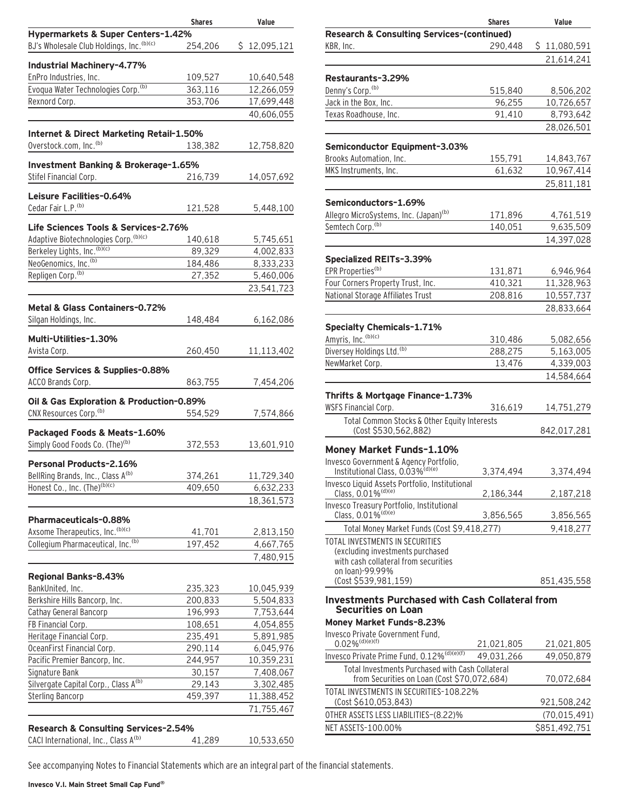|                                                      | <b>Shares</b> | Value           |
|------------------------------------------------------|---------------|-----------------|
| Hypermarkets & Super Centers-1.42%                   |               |                 |
| BJ's Wholesale Club Holdings, Inc. (b)(c)            | 254,206       | 12,095,121<br>S |
|                                                      |               |                 |
| Industrial Machinery-4.77%<br>EnPro Industries, Inc. |               |                 |
|                                                      | 109,527       | 10,640,548      |
| Evoqua Water Technologies Corp. <sup>(b)</sup>       | 363,116       | 12,266,059      |
| Rexnord Corp.                                        | 353,706       | 17,699,448      |
|                                                      |               | 40,606,055      |
| Internet & Direct Marketing Retail-1.50%             |               |                 |
| Overstock.com, Inc. <sup>(b)</sup>                   | 138,382       | 12,758,820      |
|                                                      |               |                 |
| Investment Banking & Brokerage-1.65%                 |               |                 |
| Stifel Financial Corp.                               | 216,739       | 14,057,692      |
| Leisure Facilities-0.64%                             |               |                 |
| Cedar Fair L.P. <sup>(b)</sup>                       |               |                 |
|                                                      | 121,528       | 5,448,100       |
| Life Sciences Tools & Services-2.76%                 |               |                 |
| Adaptive Biotechnologies Corp. (b)(c)                | 140,618       | 5,745,651       |
| Berkeley Lights, Inc. (b)(c)                         | 89,329        | 4,002,833       |
| NeoGenomics, Inc. <sup>(b)</sup>                     | 184,486       | 8,333,233       |
| Repligen Corp. <sup>(b)</sup>                        | 27,352        | 5,460,006       |
|                                                      |               | 23,541,723      |
|                                                      |               |                 |
| Metal & Glass Containers-0.72%                       |               |                 |
| Silgan Holdings, Inc.                                | 148,484       | 6,162,086       |
|                                                      |               |                 |
| Multi-Utilities-1.30%                                |               |                 |
| Avista Corp.                                         | 260,450       | 11,113,402      |
| Office Services & Supplies-0.88%                     |               |                 |
| ACCO Brands Corp.                                    | 863,755       | 7,454,206       |
|                                                      |               |                 |
| Oil & Gas Exploration & Production-0.89%             |               |                 |
| CNX Resources Corp. <sup>(b)</sup>                   | 554,529       | 7,574,866       |
|                                                      |               |                 |
| Packaged Foods & Meats-1.60%                         |               |                 |
| Simply Good Foods Co. (The) <sup>(b)</sup>           | 372,553       | 13,601,910      |
| <b>Personal Products-2.16%</b>                       |               |                 |
| BellRing Brands, Inc., Class A <sup>(b)</sup>        | 374,261       | 11,729,340      |
| Honest Co., Inc. (The) <sup>(b)(c)</sup>             | 409,650       | 6,632,233       |
|                                                      |               | 18,361,573      |
|                                                      |               |                 |
| <b>Pharmaceuticals-0.88%</b>                         |               |                 |
| Axsome Therapeutics, Inc. (b)(c)                     | 41,701        | 2,813,150       |
| Collegium Pharmaceutical, Inc. <sup>(b)</sup>        | 197,452       | 4,667,765       |
|                                                      |               | 7,480,915       |
|                                                      |               |                 |
| Regional Banks-8.43%                                 |               |                 |
| BankUnited, Inc.                                     | 235,323       | 10,045,939      |
| Berkshire Hills Bancorp, Inc.                        | 200,833       | 5,504,833       |
| Cathay General Bancorp                               | 196,993       | 7,753,644       |
| FB Financial Corp.                                   | 108,651       | 4,054,855       |
| Heritage Financial Corp.                             | 235,491       | 5,891,985       |
| OceanFirst Financial Corp.                           | 290,114       | 6,045,976       |
| Pacific Premier Bancorp, Inc.                        | 244,957       | 10,359,231      |
| Signature Bank                                       | 30,157        | 7,408,067       |
| Silvergate Capital Corp., Class A(b)                 | 29,143        | 3,302,485       |
| <b>Sterling Bancorp</b>                              | 459,397       | 11,388,452      |
|                                                      |               | 71,755,467      |
|                                                      |               |                 |
| Research & Consulting Services-2.54%                 |               |                 |
| CACI International, Inc., Class A(b)                 | 41,289        | 10,533,650      |

|                                                                                                | <b>Shares</b> | Value          |
|------------------------------------------------------------------------------------------------|---------------|----------------|
| <b>Research &amp; Consulting Services-(continued)</b>                                          |               |                |
| KBR, Inc.                                                                                      | 290,448       | \$11,080,591   |
|                                                                                                |               | 21,614,241     |
| Restaurants-3.29%                                                                              |               |                |
| Denny's Corp. <sup>(b)</sup>                                                                   | 515,840       | 8,506,202      |
| Jack in the Box, Inc.                                                                          | 96,255        | 10,726,657     |
| Texas Roadhouse, Inc.                                                                          | 91,410        | 8,793,642      |
|                                                                                                |               | 28,026,501     |
| Semiconductor Equipment-3.03%                                                                  |               |                |
| Brooks Automation, Inc.                                                                        | 155,791       | 14,843,767     |
| MKS Instruments, Inc.                                                                          | 61,632        | 10,967,414     |
|                                                                                                |               | 25,811,181     |
| Semiconductors-1.69%                                                                           |               |                |
| Allegro MicroSystems, Inc. (Japan) <sup>(b)</sup>                                              | 171,896       | 4,761,519      |
| Semtech Corp. <sup>(b)</sup>                                                                   | 140,051       | 9,635,509      |
|                                                                                                |               | 14,397,028     |
| Specialized REITs-3.39%                                                                        |               |                |
| EPR Properties <sup>(b)</sup>                                                                  | 131,871       | 6,946,964      |
| Four Corners Property Trust, Inc.                                                              | 410,321       | 11,328,963     |
| National Storage Affiliates Trust                                                              | 208,816       | 10,557,737     |
|                                                                                                |               |                |
|                                                                                                |               | 28,833,664     |
| <b>Specialty Chemicals-1.71%</b>                                                               |               |                |
| Amyris, Inc. (b)(c)                                                                            | 310,486       | 5,082,656      |
| Diversey Holdings Ltd. <sup>(b)</sup>                                                          | 288,275       | 5,163,005      |
| NewMarket Corp.                                                                                | 13,476        | 4,339,003      |
|                                                                                                |               | 14,584,664     |
| Thrifts & Mortgage Finance-1.73%                                                               |               |                |
| <b>WSFS Financial Corp.</b>                                                                    | 316,619       | 14,751,279     |
| Total Common Stocks & Other Equity Interests                                                   |               |                |
| (Cost \$530,562,882)                                                                           |               | 842,017,281    |
| Money Market Funds-1.10%                                                                       |               |                |
| Invesco Government & Agency Portfolio,                                                         |               |                |
| Institutional Class, 0.03% <sup>(d)(e)</sup><br>Invesco Liquid Assets Portfolio, Institutional | 3,374,494     | 3,374,494      |
| Class, 0.01% <sup>(d)(e)</sup>                                                                 | 2,186,344     | 2,187,218      |
| Invesco Treasury Portfolio, Institutional<br>Class, 0.01% <sup>(d)(e)</sup>                    | 3,856,565     | 3,856,565      |
| Total Money Market Funds (Cost \$9,418,277)                                                    |               | 9,418,277      |
| TOTAL INVESTMENTS IN SECURITIES                                                                |               |                |
| (excluding investments purchased                                                               |               |                |
| with cash collateral from securities                                                           |               |                |
| on loan)-99.99%                                                                                |               |                |
| (Cost \$539,981,159)                                                                           |               | 851,435,558    |
| <b>Investments Purchased with Cash Collateral from</b>                                         |               |                |
| <b>Securities on Loan</b>                                                                      |               |                |
| Money Market Funds-8.23%<br>Invesco Private Government Fund.                                   |               |                |
| $0.02\%$ <sup>(d)(e)(f)</sup>                                                                  | 21,021,805    | 21,021,805     |
| Invesco Private Prime Fund, 0.12% <sup>(d)(e)(f)</sup>                                         | 49.031.266    | 49,050,879     |
| Total Investments Purchased with Cash Collateral                                               |               |                |
| from Securities on Loan (Cost \$70,072,684)                                                    |               | 70,072,684     |
| TOTAL INVESTMENTS IN SECURITIES-108.22%<br>(Cost \$610,053,843)                                |               | 921,508,242    |
| OTHER ASSETS LESS LIABILITIES-(8.22)%                                                          |               | (70, 015, 491) |
| NET ASSETS-100.00%                                                                             |               | \$851,492,751  |
|                                                                                                |               |                |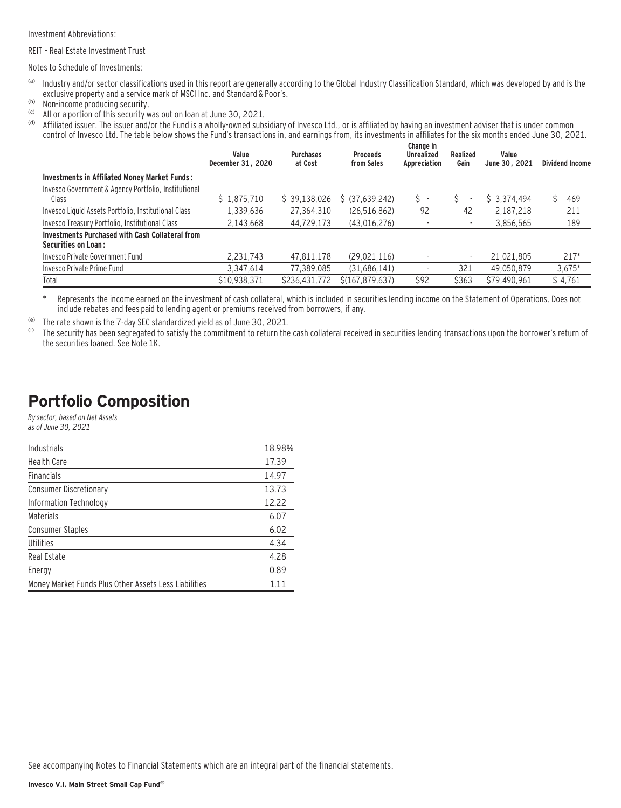Investment Abbreviations:

REIT – Real Estate Investment Trust

Notes to Schedule of Investments:

- (a) Industry and/or sector classifications used in this report are generally according to the Global Industry Classification Standard, which was developed by and is the exclusive property and a service mark of MSCI Inc. and Standard & Poor's.
- (b) Non-income producing security.<br>(c)  $\Delta H$  or a portion of this security w
- (c) All or a portion of this security was out on loan at June 30, 2021.

Affiliated issuer. The issuer and/or the Fund is a wholly-owned subsidiary of Invesco Ltd., or is affiliated by having an investment adviser that is under common control of Invesco Ltd. The table below shows the Fund's transactions in, and earnings from, its investments in affiliates for the six months ended June 30, 2021.

|                                                                                      | Value<br>December 31, 2020 | <b>Purchases</b><br>at Cost | <b>Proceeds</b><br>from Sales | Change in<br><b>Unrealized</b><br>Appreciation | Realized<br>Gain         | Value<br>June 30, 2021 | <b>Dividend Income</b> |
|--------------------------------------------------------------------------------------|----------------------------|-----------------------------|-------------------------------|------------------------------------------------|--------------------------|------------------------|------------------------|
| Investments in Affiliated Money Market Funds:                                        |                            |                             |                               |                                                |                          |                        |                        |
| Invesco Government & Agency Portfolio, Institutional<br>Class                        | \$1,875,710                | \$39,138,026                | \$ (37,639,242)               | s -                                            |                          | \$3.374.494            | 469                    |
| Invesco Liquid Assets Portfolio, Institutional Class                                 | 1,339,636                  | 27,364,310                  | (26, 516, 862)                | 92                                             | 42                       | 2.187.218              | 211                    |
| Invesco Treasury Portfolio, Institutional Class                                      | 2.143.668                  | 44,729,173                  | (43,016,276)                  | ٠                                              |                          | 3,856,565              | 189                    |
| <b>Investments Purchased with Cash Collateral from</b><br><b>Securities on Loan:</b> |                            |                             |                               |                                                |                          |                        |                        |
| Invesco Private Government Fund                                                      | 2.231.743                  | 47.811.178                  | (29,021,116)                  | ٠                                              | $\overline{\phantom{a}}$ | 21.021.805             | $217*$                 |
| Invesco Private Prime Fund                                                           | 3.347.614                  | 77.389.085                  | (31,686,141)                  | ٠                                              | 321                      | 49.050.879             | $3,675*$               |
| Total                                                                                | \$10,938,371               | \$236,431,772               | \$(167, 879, 637)             | \$92                                           | \$363                    | \$79,490,961           | \$4,761                |

\* Represents the income earned on the investment of cash collateral, which is included in securities lending income on the Statement of Operations. Does not include rebates and fees paid to lending agent or premiums received from borrowers, if any.

(e) The rate shown is the 7-day SEC standardized yield as of June 30, 2021.

The security has been segregated to satisfy the commitment to return the cash collateral received in securities lending transactions upon the borrower's return of the securities loaned. See Note 1K.

### **Portfolio Composition**

By sector, based on Net Assets as of June 30, 2021

| Industrials                                           | 18.98% |
|-------------------------------------------------------|--------|
| <b>Health Care</b>                                    | 17.39  |
| <b>Financials</b>                                     | 14.97  |
| <b>Consumer Discretionary</b>                         | 13.73  |
| Information Technology                                | 12.22  |
| Materials                                             | 6.07   |
| <b>Consumer Staples</b>                               | 6.02   |
| Utilities                                             | 4.34   |
| Real Estate                                           | 4.28   |
| Energy                                                | 0.89   |
| Money Market Funds Plus Other Assets Less Liabilities | 111    |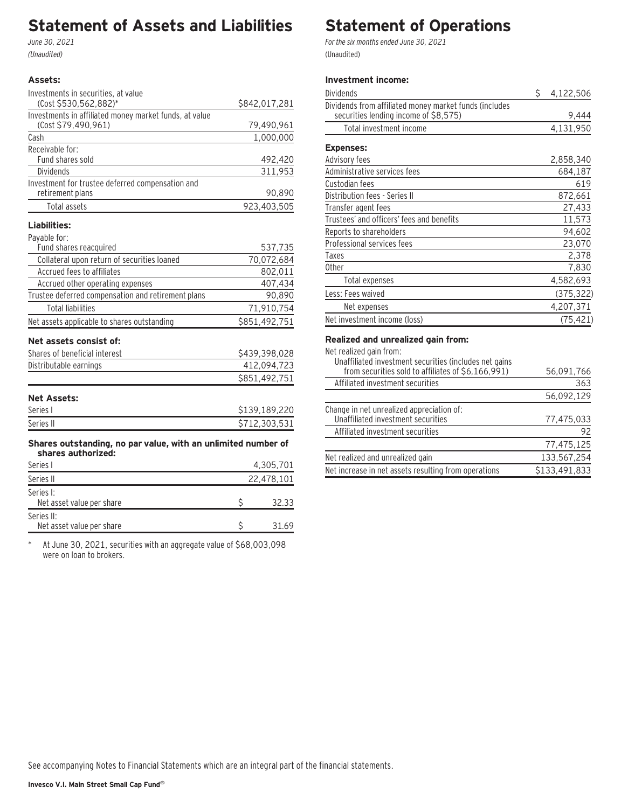### **Statement of Assets and Liabilities**

June 30, 2021 (Unaudited)

#### **Assets:**

| Investments in securities, at value                                  |               |
|----------------------------------------------------------------------|---------------|
| (Cost \$530,562,882)*                                                | \$842,017,281 |
| Investments in affiliated money market funds, at value               |               |
| (Cost \$79,490,961)                                                  | 79,490,961    |
| Cash                                                                 | 1,000,000     |
| Receivable for:                                                      |               |
| Fund shares sold                                                     | 492,420       |
| Dividends                                                            | 311,953       |
| Investment for trustee deferred compensation and<br>retirement plans | 90,890        |
| <b>Total assets</b>                                                  | 923,403,505   |
| Liabilities:                                                         |               |
| Pavable for:                                                         |               |
| Fund shares reacquired                                               | 537,735       |
| Collateral upon return of securities loaned                          | 70,072,684    |
| Accrued fees to affiliates                                           | 802,011       |
| Accrued other operating expenses                                     | 407,434       |
| Trustee deferred compensation and retirement plans                   | 90,890        |
| <b>Total liabilities</b>                                             | 71,910,754    |
| Net assets applicable to shares outstanding                          | \$851,492,751 |
| Net assets consist of:                                               |               |
| Shares of beneficial interest                                        | \$439,398,028 |
| Distributable earnings                                               | 412,094,723   |
|                                                                      | \$851,492,751 |
| <b>Net Assets:</b>                                                   |               |
| Series I                                                             | \$139,189,220 |
| Series II                                                            | \$712,303,531 |
| Shares outstanding, no par value, with an unlimited number of        |               |
| shares authorized:                                                   |               |
| Series I                                                             | 4,305,701     |
| Series II                                                            | 22,478,101    |
| Series I:                                                            |               |
| Net asset value per share                                            | \$<br>32.33   |
| Series II:                                                           |               |

\* At June 30, 2021, securities with an aggregate value of \$68,003,098 were on loan to brokers.

Net asset value per share  $\frac{1}{2}$   $\frac{31.69}{2}$ 

# **Statement of Operations**

For the six months ended June 30, 2021 (Unaudited)

#### **Investment income:**

| Dividends                                                                                       | \$<br>4,122,506 |
|-------------------------------------------------------------------------------------------------|-----------------|
| Dividends from affiliated money market funds (includes<br>securities lending income of \$8,575) | 9,444           |
| Total investment income                                                                         | 4,131,950       |
| <b>Expenses:</b>                                                                                |                 |
| Advisory fees                                                                                   | 2,858,340       |
| Administrative services fees                                                                    | 684,187         |
| Custodian fees                                                                                  | 619             |
| Distribution fees - Series II                                                                   | 872,661         |
| Transfer agent fees                                                                             | 27,433          |
| Trustees' and officers' fees and benefits                                                       | 11,573          |
| Reports to shareholders                                                                         | 94,602          |
| Professional services fees                                                                      | 23,070          |
| Taxes                                                                                           | 2,378           |
| <b>Other</b>                                                                                    | 7,830           |
| Total expenses                                                                                  | 4,582,693       |
| Less: Fees waived                                                                               | (375, 322)      |
| Net expenses                                                                                    | 4,207,371       |
| Net investment income (loss)                                                                    | (75, 421)       |

#### **Realized and unrealized gain from:**

Net realized gain from:

| Unaffiliated investment securities (includes net gains<br>from securities sold to affiliates of \$6,166,991) | 56,091,766    |
|--------------------------------------------------------------------------------------------------------------|---------------|
| Affiliated investment securities                                                                             | 363           |
|                                                                                                              | 56,092,129    |
| Change in net unrealized appreciation of:                                                                    |               |
| Unaffiliated investment securities                                                                           | 77,475,033    |
| Affiliated investment securities                                                                             | 92            |
|                                                                                                              | 77,475,125    |
| Net realized and unrealized gain                                                                             | 133,567,254   |
| Net increase in net assets resulting from operations                                                         | \$133,491,833 |
|                                                                                                              |               |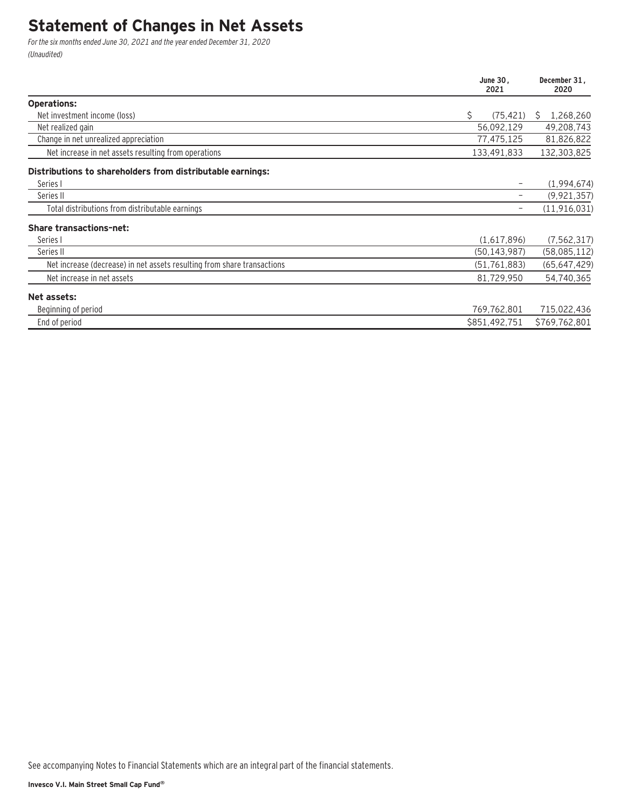### **Statement of Changes in Net Assets**

For the six months ended June 30, 2021 and the year ended December 31, 2020 (Unaudited)

|                                                                         | June 30.<br>2021 | December 31.<br>2020 |  |
|-------------------------------------------------------------------------|------------------|----------------------|--|
| <b>Operations:</b>                                                      |                  |                      |  |
| Net investment income (loss)                                            | \$<br>(75, 421)  | 1,268,260<br>S       |  |
| Net realized gain                                                       | 56,092,129       | 49,208,743           |  |
| Change in net unrealized appreciation                                   | 77,475,125       | 81,826,822           |  |
| Net increase in net assets resulting from operations                    | 133,491,833      | 132,303,825          |  |
| Distributions to shareholders from distributable earnings:              |                  |                      |  |
| Series I                                                                |                  | (1,994,674)          |  |
| Series II                                                               |                  | (9, 921, 357)        |  |
| Total distributions from distributable earnings                         |                  | (11, 916, 031)       |  |
| <b>Share transactions-net:</b>                                          |                  |                      |  |
| Series I                                                                | (1,617,896)      | (7, 562, 317)        |  |
| Series II                                                               | (50, 143, 987)   | (58,085,112)         |  |
| Net increase (decrease) in net assets resulting from share transactions | (51, 761, 883)   | (65, 647, 429)       |  |
| Net increase in net assets                                              | 81,729,950       | 54,740,365           |  |
| Net assets:                                                             |                  |                      |  |
| Beginning of period                                                     | 769,762,801      | 715,022,436          |  |
| End of period                                                           | \$851,492,751    | \$769,762,801        |  |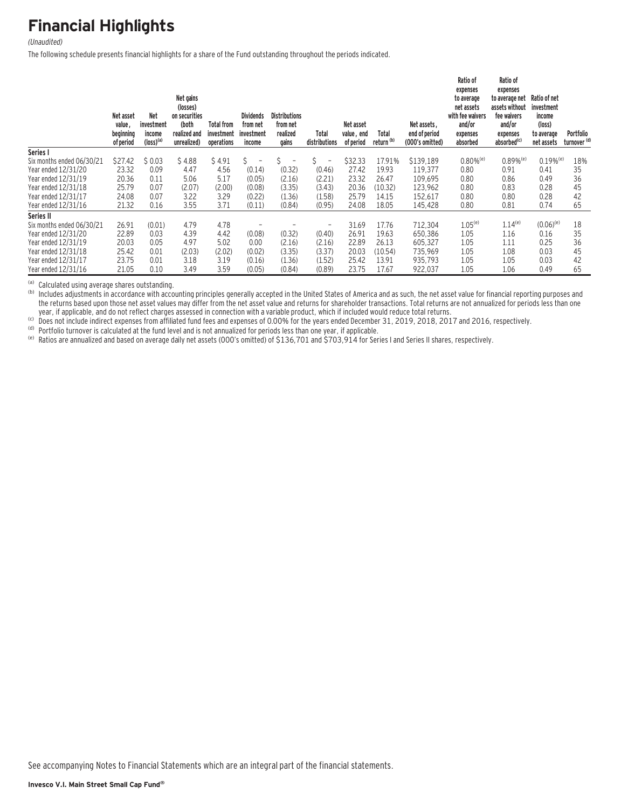# **Financial Highlights**

#### (Unaudited)

The following schedule presents financial highlights for a share of the Fund outstanding throughout the periods indicated.

|                           | Net asset<br>value,<br>beginning<br>of period | <b>Net</b><br>investment<br>income<br>$(logs)$ <sup>(a)</sup> | Net gains<br>(losses)<br>on securities<br>(both<br>realized and<br>unrealized) | <b>Total from</b><br>investment<br>operations | <b>Dividends</b><br>from net<br>investment<br>income | <b>Distributions</b><br>from net<br>realized<br>gains | Total<br>distributions        | Net asset<br>value, end<br>of period | Total<br>return <sup>(b)</sup> | Net assets.<br>end of period<br>(000's omitted) | Ratio of<br>expenses<br>to average<br>net assets<br>with fee waivers<br>and/or<br>expenses<br>absorbed | Ratio of<br>expenses<br>to average net<br>assets without<br>fee waivers<br>and/or<br>expenses<br>absorbed <sup>(c)</sup> | Ratio of net<br>investment<br>income<br>(logs)<br>to average<br>net assets | Portfolio<br>turnover <sup>(d)</sup> |
|---------------------------|-----------------------------------------------|---------------------------------------------------------------|--------------------------------------------------------------------------------|-----------------------------------------------|------------------------------------------------------|-------------------------------------------------------|-------------------------------|--------------------------------------|--------------------------------|-------------------------------------------------|--------------------------------------------------------------------------------------------------------|--------------------------------------------------------------------------------------------------------------------------|----------------------------------------------------------------------------|--------------------------------------|
| Series I                  |                                               |                                                               |                                                                                |                                               |                                                      |                                                       |                               |                                      |                                |                                                 |                                                                                                        |                                                                                                                          |                                                                            |                                      |
| Six months ended 06/30/21 | \$27.42                                       | \$0.03                                                        | \$4.88                                                                         | \$4.91                                        | Ŝ.<br>$\qquad \qquad -$                              |                                                       | Ś<br>$\overline{\phantom{a}}$ | \$32.33                              | 17.91%                         | \$139,189                                       | $0.80\%$ <sup>(e)</sup>                                                                                | $0.89\%$ <sup>(e)</sup>                                                                                                  | $0.19%$ <sup>(e)</sup>                                                     | 18%                                  |
| Year ended 12/31/20       | 23.32                                         | 0.09                                                          | 4.47                                                                           | 4.56                                          | (0.14)                                               | (0.32)                                                | (0.46)                        | 27.42                                | 19.93                          | 119,377                                         | 0.80                                                                                                   | 0.91                                                                                                                     | 0.41                                                                       | 35                                   |
| Year ended 12/31/19       | 20.36                                         | 0.11                                                          | 5.06                                                                           | 5.17                                          | (0.05)                                               | (2.16)                                                | (2.21)                        | 23.32                                | 26.47                          | 109,695                                         | 0.80                                                                                                   | 0.86                                                                                                                     | 0.49                                                                       | 36                                   |
| Year ended 12/31/18       | 25.79                                         | 0.07                                                          | (2.07)                                                                         | (2.00)                                        | (0.08)                                               | (3.35)                                                | (3.43)                        | 20.36                                | (10.32)                        | 123,962                                         | 0.80                                                                                                   | 0.83                                                                                                                     | 0.28                                                                       | 45                                   |
| Year ended 12/31/17       | 24.08                                         | 0.07                                                          | 3.22                                                                           | 3.29                                          | (0.22)                                               | (1.36)                                                | (1.58)                        | 25.79                                | 14.15                          | 152,617                                         | 0.80                                                                                                   | 0.80                                                                                                                     | 0.28                                                                       | 42                                   |
| Year ended 12/31/16       | 21.32                                         | 0.16                                                          | 3.55                                                                           | 3.71                                          | (0.11)                                               | (0.84)                                                | (0.95)                        | 24.08                                | 18.05                          | 145,428                                         | 0.80                                                                                                   | 0.81                                                                                                                     | 0.74                                                                       | 65                                   |
| Series II                 |                                               |                                                               |                                                                                |                                               |                                                      |                                                       |                               |                                      |                                |                                                 |                                                                                                        |                                                                                                                          |                                                                            |                                      |
| Six months ended 06/30/21 | 26.91                                         | (0.01)                                                        | 4.79                                                                           | 4.78                                          |                                                      |                                                       | $\overline{\phantom{0}}$      | 31.69                                | 17.76                          | 712,304                                         | $1.05^{(e)}$                                                                                           | $1.14^{(e)}$                                                                                                             | $(0.06)^{(e)}$                                                             | 18                                   |
| Year ended 12/31/20       | 22.89                                         | 0.03                                                          | 4.39                                                                           | 4.42                                          | (0.08)                                               | (0.32)                                                | (0.40)                        | 26.91                                | 19.63                          | 650,386                                         | 1.05                                                                                                   | 1.16                                                                                                                     | 0.16                                                                       | 35                                   |
| Year ended 12/31/19       | 20.03                                         | 0.05                                                          | 4.97                                                                           | 5.02                                          | 0.00                                                 | (2.16)                                                | (2.16)                        | 22.89                                | 26.13                          | 605,327                                         | 1.05                                                                                                   | 1.11                                                                                                                     | 0.25                                                                       | 36                                   |
| Year ended 12/31/18       | 25.42                                         | 0.01                                                          | (2.03)                                                                         | (2.02)                                        | (0.02)                                               | (3.35)                                                | (3.37)                        | 20.03                                | (10.54)                        | 735,969                                         | 1.05                                                                                                   | 1.08                                                                                                                     | 0.03                                                                       | 45                                   |
| Year ended 12/31/17       | 23.75                                         | 0.01                                                          | 3.18                                                                           | 3.19                                          | (0.16)                                               | (1.36)                                                | (1.52)                        | 25.42                                | 13.91                          | 935,793                                         | 1.05                                                                                                   | 1.05                                                                                                                     | 0.03                                                                       | 42                                   |
| Year ended 12/31/16       | 21.05                                         | 0.10                                                          | 3.49                                                                           | 3.59                                          | (0.05)                                               | (0.84)                                                | (0.89)                        | 23.75                                | 17.67                          | 922,037                                         | 1.05                                                                                                   | 1.06                                                                                                                     | 0.49                                                                       | 65                                   |

(a) Calculated using average shares outstanding.<br>(b) Includes adjustments in accordance with accounting principles generally accepted in the United States of America and as such, the net asset value for financial reporting the returns based upon those net asset values may differ from the net asset value and returns for shareholder transactions. Total returns are not annualized for periods less than one year, if applicable, and do not reflect

(b) Does not include indirect expenses from affiliated fund fees and expenses of 0.00% for the years ended December 31, 2019, 2018, 2017 and 2016, respectively.<br>(b) Does not include indirect expenses from affiliated fund f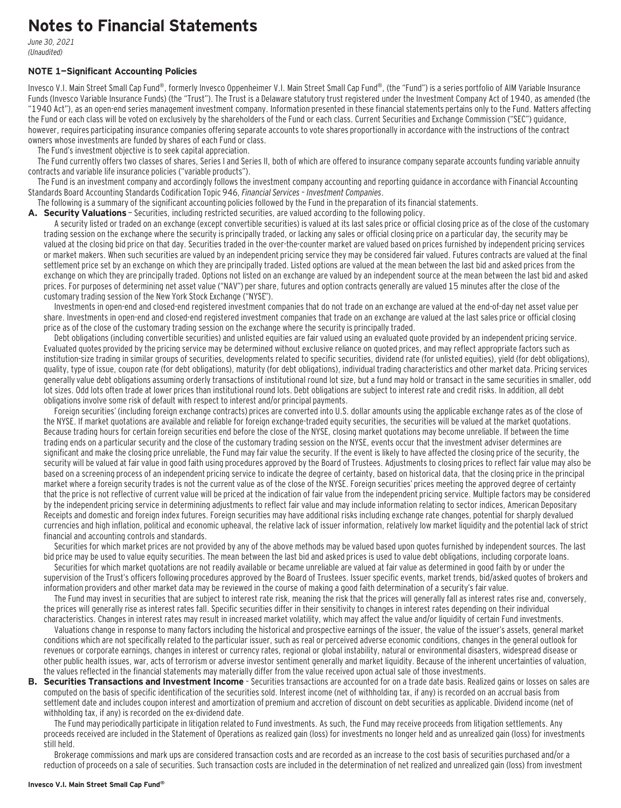### **Notes to Financial Statements**

June 30, 2021 (Unaudited)

#### **NOTE 1—Significant Accounting Policies**

Invesco V.I. Main Street Small Cap Fund®, formerly Invesco Oppenheimer V.I. Main Street Small Cap Fund®, (the "Fund") is a series portfolio of AIM Variable Insurance Funds (Invesco Variable Insurance Funds) (the "Trust"). The Trust is a Delaware statutory trust registered under the Investment Company Act of 1940, as amended (the "1940 Act"), as an open-end series management investment company. Information presented in these financial statements pertains only to the Fund. Matters affecting the Fund or each class will be voted on exclusively by the shareholders of the Fund or each class. Current Securities and Exchange Commission ("SEC") guidance, however, requires participating insurance companies offering separate accounts to vote shares proportionally in accordance with the instructions of the contract owners whose investments are funded by shares of each Fund or class.

The Fund's investment objective is to seek capital appreciation.

The Fund currently offers two classes of shares, Series I and Series II, both of which are offered to insurance company separate accounts funding variable annuity contracts and variable life insurance policies ("variable products").

The Fund is an investment company and accordingly follows the investment company accounting and reporting guidance in accordance with Financial Accounting Standards Board Accounting Standards Codification Topic 946, Financial Services – Investment Companies.

The following is a summary of the significant accounting policies followed by the Fund in the preparation of its financial statements.

**A. Security Valuations** — Securities, including restricted securities, are valued according to the following policy.

A security listed or traded on an exchange (except convertible securities) is valued at its last sales price or official closing price as of the close of the customary trading session on the exchange where the security is principally traded, or lacking any sales or official closing price on a particular day, the security may be valued at the closing bid price on that day. Securities traded in the over-the-counter market are valued based on prices furnished by independent pricing services or market makers. When such securities are valued by an independent pricing service they may be considered fair valued. Futures contracts are valued at the final settlement price set by an exchange on which they are principally traded. Listed options are valued at the mean between the last bid and asked prices from the exchange on which they are principally traded. Options not listed on an exchange are valued by an independent source at the mean between the last bid and asked prices. For purposes of determining net asset value ("NAV") per share, futures and option contracts generally are valued 15 minutes after the close of the customary trading session of the New York Stock Exchange ("NYSE").

Investments in open-end and closed-end registered investment companies that do not trade on an exchange are valued at the end-of-day net asset value per share. Investments in open-end and closed-end registered investment companies that trade on an exchange are valued at the last sales price or official closing price as of the close of the customary trading session on the exchange where the security is principally traded.

Debt obligations (including convertible securities) and unlisted equities are fair valued using an evaluated quote provided by an independent pricing service. Evaluated quotes provided by the pricing service may be determined without exclusive reliance on quoted prices, and may reflect appropriate factors such as institution-size trading in similar groups of securities, developments related to specific securities, dividend rate (for unlisted equities), yield (for debt obligations), quality, type of issue, coupon rate (for debt obligations), maturity (for debt obligations), individual trading characteristics and other market data. Pricing services generally value debt obligations assuming orderly transactions of institutional round lot size, but a fund may hold or transact in the same securities in smaller, odd lot sizes. Odd lots often trade at lower prices than institutional round lots. Debt obligations are subject to interest rate and credit risks. In addition, all debt obligations involve some risk of default with respect to interest and/or principal payments.

Foreign securities' (including foreign exchange contracts) prices are converted into U.S. dollar amounts using the applicable exchange rates as of the close of the NYSE. If market quotations are available and reliable for foreign exchange-traded equity securities, the securities will be valued at the market quotations. Because trading hours for certain foreign securities end before the close of the NYSE, closing market quotations may become unreliable. If between the time trading ends on a particular security and the close of the customary trading session on the NYSE, events occur that the investment adviser determines are significant and make the closing price unreliable, the Fund may fair value the security. If the event is likely to have affected the closing price of the security, the security will be valued at fair value in good faith using procedures approved by the Board of Trustees. Adjustments to closing prices to reflect fair value may also be based on a screening process of an independent pricing service to indicate the degree of certainty, based on historical data, that the closing price in the principal market where a foreign security trades is not the current value as of the close of the NYSE. Foreign securities' prices meeting the approved degree of certainty that the price is not reflective of current value will be priced at the indication of fair value from the independent pricing service. Multiple factors may be considered by the independent pricing service in determining adjustments to reflect fair value and may include information relating to sector indices, American Depositary Receipts and domestic and foreign index futures. Foreign securities may have additional risks including exchange rate changes, potential for sharply devalued currencies and high inflation, political and economic upheaval, the relative lack of issuer information, relatively low market liquidity and the potential lack of strict financial and accounting controls and standards.

Securities for which market prices are not provided by any of the above methods may be valued based upon quotes furnished by independent sources. The last bid price may be used to value equity securities. The mean between the last bid and asked prices is used to value debt obligations, including corporate loans.

Securities for which market quotations are not readily available or became unreliable are valued at fair value as determined in good faith by or under the supervision of the Trust's officers following procedures approved by the Board of Trustees. Issuer specific events, market trends, bid/asked quotes of brokers and information providers and other market data may be reviewed in the course of making a good faith determination of a security's fair value.

The Fund may invest in securities that are subject to interest rate risk, meaning the risk that the prices will generally fall as interest rates rise and, conversely, the prices will generally rise as interest rates fall. Specific securities differ in their sensitivity to changes in interest rates depending on their individual characteristics. Changes in interest rates may result in increased market volatility, which may affect the value and/or liquidity of certain Fund investments.

Valuations change in response to many factors including the historical and prospective earnings of the issuer, the value of the issuer's assets, general market conditions which are not specifically related to the particular issuer, such as real or perceived adverse economic conditions, changes in the general outlook for revenues or corporate earnings, changes in interest or currency rates, regional or global instability, natural or environmental disasters, widespread disease or other public health issues, war, acts of terrorism or adverse investor sentiment generally and market liquidity. Because of the inherent uncertainties of valuation, the values reflected in the financial statements may materially differ from the value received upon actual sale of those investments.

**B. Securities Transactions and Investment Income** - Securities transactions are accounted for on a trade date basis. Realized gains or losses on sales are computed on the basis of specific identification of the securities sold. Interest income (net of withholding tax, if any) is recorded on an accrual basis from settlement date and includes coupon interest and amortization of premium and accretion of discount on debt securities as applicable. Dividend income (net of withholding tax, if any) is recorded on the ex-dividend date.

The Fund may periodically participate in litigation related to Fund investments. As such, the Fund may receive proceeds from litigation settlements. Any proceeds received are included in the Statement of Operations as realized gain (loss) for investments no longer held and as unrealized gain (loss) for investments still held.

Brokerage commissions and mark ups are considered transaction costs and are recorded as an increase to the cost basis of securities purchased and/or a reduction of proceeds on a sale of securities. Such transaction costs are included in the determination of net realized and unrealized gain (loss) from investment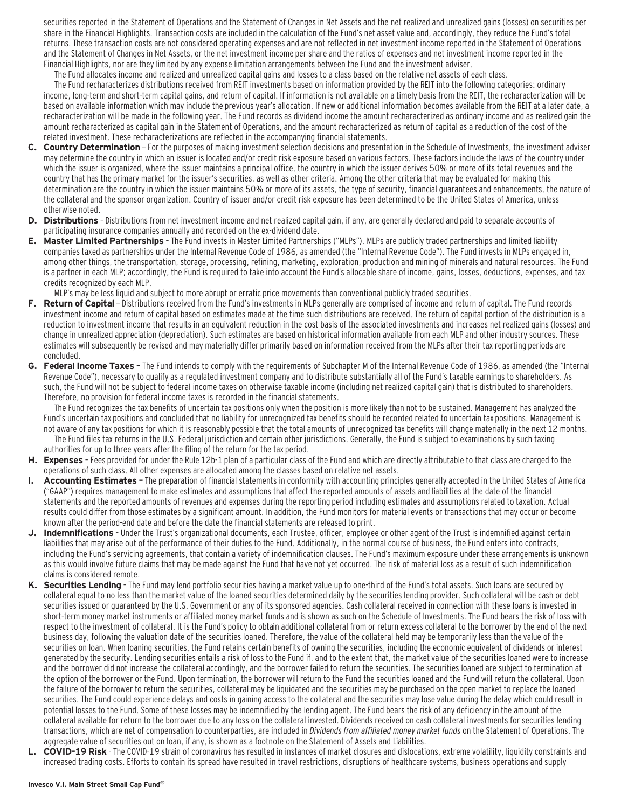securities reported in the Statement of Operations and the Statement of Changes in Net Assets and the net realized and unrealized gains (losses) on securities per share in the Financial Highlights. Transaction costs are included in the calculation of the Fund's net asset value and, accordingly, they reduce the Fund's total returns. These transaction costs are not considered operating expenses and are not reflected in net investment income reported in the Statement of Operations and the Statement of Changes in Net Assets, or the net investment income per share and the ratios of expenses and net investment income reported in the Financial Highlights, nor are they limited by any expense limitation arrangements between the Fund and the investment adviser.

The Fund allocates income and realized and unrealized capital gains and losses to a class based on the relative net assets of each class.

The Fund recharacterizes distributions received from REIT investments based on information provided by the REIT into the following categories: ordinary income, long-term and short-term capital gains, and return of capital. If information is not available on a timely basis from the REIT, the recharacterization will be based on available information which may include the previous year's allocation. If new or additional information becomes available from the REIT at a later date, a recharacterization will be made in the following year. The Fund records as dividend income the amount recharacterized as ordinary income and as realized gain the amount recharacterized as capital gain in the Statement of Operations, and the amount recharacterized as return of capital as a reduction of the cost of the related investment. These recharacterizations are reflected in the accompanying financial statements.

- **C. Country Determination**  For the purposes of making investment selection decisions and presentation in the Schedule of Investments, the investment adviser may determine the country in which an issuer is located and/or credit risk exposure based on various factors. These factors include the laws of the country under which the issuer is organized, where the issuer maintains a principal office, the country in which the issuer derives 50% or more of its total revenues and the country that has the primary market for the issuer's securities, as well as other criteria. Among the other criteria that may be evaluated for making this determination are the country in which the issuer maintains 50% or more of its assets, the type of security, financial guarantees and enhancements, the nature of the collateral and the sponsor organization. Country of issuer and/or credit risk exposure has been determined to be the United States of America, unless otherwise noted.
- **D. Distributions**  Distributions from net investment income and net realized capital gain, if any, are generally declared and paid to separate accounts of participating insurance companies annually and recorded on the ex-dividend date.
- **E. Master Limited Partnerships**  The Fund invests in Master Limited Partnerships ("MLPs"). MLPs are publicly traded partnerships and limited liability companies taxed as partnerships under the Internal Revenue Code of 1986, as amended (the "Internal Revenue Code"). The Fund invests in MLPs engaged in, among other things, the transportation, storage, processing, refining, marketing, exploration, production and mining of minerals and natural resources. The Fund is a partner in each MLP; accordingly, the Fund is required to take into account the Fund's allocable share of income, gains, losses, deductions, expenses, and tax credits recognized by each MLP.

MLP's may be less liquid and subject to more abrupt or erratic price movements than conventional publicly traded securities.

- F. Return of Capital Distributions received from the Fund's investments in MLPs generally are comprised of income and return of capital. The Fund records investment income and return of capital based on estimates made at the time such distributions are received. The return of capital portion of the distribution is a reduction to investment income that results in an equivalent reduction in the cost basis of the associated investments and increases net realized gains (losses) and change in unrealized appreciation (depreciation). Such estimates are based on historical information available from each MLP and other industry sources. These estimates will subsequently be revised and may materially differ primarily based on information received from the MLPs after their tax reporting periods are concluded.
- **G. Federal Income Taxes** The Fund intends to comply with the requirements of Subchapter M of the Internal Revenue Code of 1986, as amended (the "Internal Revenue Code"), necessary to qualify as a regulated investment company and to distribute substantially all of the Fund's taxable earnings to shareholders. As such, the Fund will not be subject to federal income taxes on otherwise taxable income (including net realized capital gain) that is distributed to shareholders. Therefore, no provision for federal income taxes is recorded in the financial statements.

The Fund recognizes the tax benefits of uncertain tax positions only when the position is more likely than not to be sustained. Management has analyzed the Fund's uncertain tax positions and concluded that no liability for unrecognized tax benefits should be recorded related to uncertain tax positions. Management is not aware of any tax positions for which it is reasonably possible that the total amounts of unrecognized tax benefits will change materially in the next 12 months. The Fund files tax returns in the U.S. Federal jurisdiction and certain other jurisdictions. Generally, the Fund is subject to examinations by such taxing authorities for up to three years after the filing of the return for the tax period.

- **H. Expenses**  Fees provided for under the Rule 12b-1 plan of a particular class of the Fund and which are directly attributable to that class are charged to the operations of such class. All other expenses are allocated among the classes based on relative net assets.
- **I. Accounting Estimates** The preparation of financial statements in conformity with accounting principles generally accepted in the United States of America ("GAAP") requires management to make estimates and assumptions that affect the reported amounts of assets and liabilities at the date of the financial statements and the reported amounts of revenues and expenses during the reporting period including estimates and assumptions related to taxation. Actual results could differ from those estimates by a significant amount. In addition, the Fund monitors for material events or transactions that may occur or become known after the period-end date and before the date the financial statements are released to print.
- **J. Indemnifications**  Under the Trust's organizational documents, each Trustee, officer, employee or other agent of the Trust is indemnified against certain liabilities that may arise out of the performance of their duties to the Fund. Additionally, in the normal course of business, the Fund enters into contracts, including the Fund's servicing agreements, that contain a variety of indemnification clauses. The Fund's maximum exposure under these arrangements is unknown as this would involve future claims that may be made against the Fund that have not yet occurred. The risk of material loss as a result of such indemnification claims is considered remote.
- **K. Securities Lending**  The Fund may lend portfolio securities having a market value up to one-third of the Fund's total assets. Such loans are secured by collateral equal to no less than the market value of the loaned securities determined daily by the securities lending provider. Such collateral will be cash or debt securities issued or quaranteed by the U.S. Government or any of its sponsored agencies. Cash collateral received in connection with these loans is invested in short-term money market instruments or affiliated money market funds and is shown as such on the Schedule of Investments. The Fund bears the risk of loss with respect to the investment of collateral. It is the Fund's policy to obtain additional collateral from or return excess collateral to the borrower by the end of the next business day, following the valuation date of the securities loaned. Therefore, the value of the collateral held may be temporarily less than the value of the securities on loan. When loaning securities, the Fund retains certain benefits of owning the securities, including the economic equivalent of dividends or interest generated by the security. Lending securities entails a risk of loss to the Fund if, and to the extent that, the market value of the securities loaned were to increase and the borrower did not increase the collateral accordingly, and the borrower failed to return the securities. The securities loaned are subject to termination at the option of the borrower or the Fund. Upon termination, the borrower will return to the Fund the securities loaned and the Fund will return the collateral. Upon the failure of the borrower to return the securities, collateral may be liquidated and the securities may be purchased on the open market to replace the loaned securities. The Fund could experience delays and costs in gaining access to the collateral and the securities may lose value during the delay which could result in potential losses to the Fund. Some of these losses may be indemnified by the lending agent. The Fund bears the risk of any deficiency in the amount of the collateral available for return to the borrower due to any loss on the collateral invested. Dividends received on cash collateral investments for securities lending transactions, which are net of compensation to counterparties, are included in Dividends from affiliated money market funds on the Statement of Operations. The aggregate value of securities out on loan, if any, is shown as a footnote on the Statement of Assets and Liabilities.
- **L. COVID-19 Risk**  The COVID-19 strain of coronavirus has resulted in instances of market closures and dislocations, extreme volatility, liquidity constraints and increased trading costs. Efforts to contain its spread have resulted in travel restrictions, disruptions of healthcare systems, business operations and supply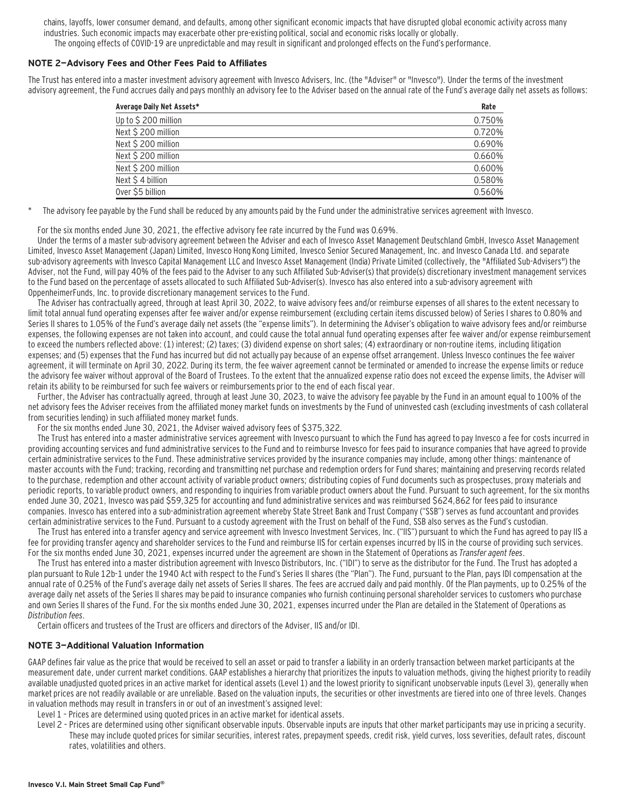chains, layoffs, lower consumer demand, and defaults, among other significant economic impacts that have disrupted global economic activity across many industries. Such economic impacts may exacerbate other pre-existing political, social and economic risks locally or globally. The ongoing effects of COVID-19 are unpredictable and may result in significant and prolonged effects on the Fund's performance.

#### **NOTE 2—Advisory Fees and Other Fees Paid to Affiliates**

The Trust has entered into a master investment advisory agreement with Invesco Advisers, Inc. (the "Adviser" or "Invesco"). Under the terms of the investment advisory agreement, the Fund accrues daily and pays monthly an advisory fee to the Adviser based on the annual rate of the Fund's average daily net assets as follows:

| Average Daily Net Assets* | Rate   |  |
|---------------------------|--------|--|
| Up to \$200 million       | 0.750% |  |
| Next \$200 million        | 0.720% |  |
| Next \$200 million        | 0.690% |  |
| Next \$200 million        | 0.660% |  |
| Next \$200 million        | 0.600% |  |
| Next $$4$ billion         | 0.580% |  |
| Over \$5 billion          | 0.560% |  |

The advisory fee payable by the Fund shall be reduced by any amounts paid by the Fund under the administrative services agreement with Invesco.

For the six months ended June 30, 2021, the effective advisory fee rate incurred by the Fund was 0.69%.

Under the terms of a master sub-advisory agreement between the Adviser and each of Invesco Asset Management Deutschland GmbH, Invesco Asset Management Limited, Invesco Asset Management (Japan) Limited, Invesco Hong Kong Limited, Invesco Senior Secured Management, Inc. and Invesco Canada Ltd. and separate sub-advisory agreements with Invesco Capital Management LLC and Invesco Asset Management (India) Private Limited (collectively, the "Affiliated Sub-Advisers") the Adviser, not the Fund, will pay 40% of the fees paid to the Adviser to any such Affiliated Sub-Adviser(s) that provide(s) discretionary investment management services to the Fund based on the percentage of assets allocated to such Affiliated Sub-Adviser(s). Invesco has also entered into a sub-advisory agreement with OppenheimerFunds, Inc. to provide discretionary management services to the Fund.

The Adviser has contractually agreed, through at least April 30, 2022, to waive advisory fees and/or reimburse expenses of all shares to the extent necessary to limit total annual fund operating expenses after fee waiver and/or expense reimbursement (excluding certain items discussed below) of Series I shares to 0.80% and Series II shares to 1.05% of the Fund's average daily net assets (the "expense limits"). In determining the Adviser's obligation to waive advisory fees and/or reimburse expenses, the following expenses are not taken into account, and could cause the total annual fund operating expenses after fee waiver and/or expense reimbursement to exceed the numbers reflected above: (1) interest; (2) taxes; (3) dividend expense on short sales; (4) extraordinary or non-routine items, including litigation expenses; and (5) expenses that the Fund has incurred but did not actually pay because of an expense offset arrangement. Unless Invesco continues the fee waiver agreement, it will terminate on April 30, 2022. During its term, the fee waiver agreement cannot be terminated or amended to increase the expense limits or reduce the advisory fee waiver without approval of the Board of Trustees. To the extent that the annualized expense ratio does not exceed the expense limits, the Adviser will retain its ability to be reimbursed for such fee waivers or reimbursements prior to the end of each fiscal year.

Further, the Adviser has contractually agreed, through at least June 30, 2023, to waive the advisory fee payable by the Fund in an amount equal to 100% of the net advisory fees the Adviser receives from the affiliated money market funds on investments by the Fund of uninvested cash (excluding investments of cash collateral from securities lending) in such affiliated money market funds.

For the six months ended June 30, 2021, the Adviser waived advisory fees of \$375,322.

The Trust has entered into a master administrative services agreement with Invesco pursuant to which the Fund has agreed to pay Invesco a fee for costs incurred in providing accounting services and fund administrative services to the Fund and to reimburse Invesco for fees paid to insurance companies that have agreed to provide certain administrative services to the Fund. These administrative services provided by the insurance companies may include, among other things: maintenance of master accounts with the Fund; tracking, recording and transmitting net purchase and redemption orders for Fund shares; maintaining and preserving records related to the purchase, redemption and other account activity of variable product owners; distributing copies of Fund documents such as prospectuses, proxy materials and periodic reports, to variable product owners, and responding to inquiries from variable product owners about the Fund. Pursuant to such agreement, for the six months ended June 30, 2021, Invesco was paid \$59,325 for accounting and fund administrative services and was reimbursed \$624,862 for fees paid to insurance companies. Invesco has entered into a sub-administration agreement whereby State Street Bank and Trust Company ("SSB") serves as fund accountant and provides certain administrative services to the Fund. Pursuant to a custody agreement with the Trust on behalf of the Fund, SSB also serves as the Fund's custodian.

The Trust has entered into a transfer agency and service agreement with Invesco Investment Services, Inc. ("IIS") pursuant to which the Fund has agreed to pay IIS a fee for providing transfer agency and shareholder services to the Fund and reimburse IIS for certain expenses incurred by IIS in the course of providing such services. For the six months ended June 30, 2021, expenses incurred under the agreement are shown in the Statement of Operations as Transfer agent fees.

The Trust has entered into a master distribution agreement with Invesco Distributors, Inc. ("IDI") to serve as the distributor for the Fund. The Trust has adopted a plan pursuant to Rule 12b-1 under the 1940 Act with respect to the Fund's Series II shares (the "Plan"). The Fund, pursuant to the Plan, pays IDI compensation at the annual rate of 0.25% of the Fund's average daily net assets of Series II shares. The fees are accrued daily and paid monthly. Of the Plan payments, up to 0.25% of the average daily net assets of the Series II shares may be paid to insurance companies who furnish continuing personal shareholder services to customers who purchase and own Series II shares of the Fund. For the six months ended June 30, 2021, expenses incurred under the Plan are detailed in the Statement of Operations as Distribution fees.

Certain officers and trustees of the Trust are officers and directors of the Adviser, IIS and/or IDI.

#### **NOTE 3—Additional Valuation Information**

GAAP defines fair value as the price that would be received to sell an asset or paid to transfer a liability in an orderly transaction between market participants at the measurement date, under current market conditions. GAAP establishes a hierarchy that prioritizes the inputs to valuation methods, giving the highest priority to readily available unadjusted quoted prices in an active market for identical assets (Level 1) and the lowest priority to significant unobservable inputs (Level 3), generally when market prices are not readily available or are unreliable. Based on the valuation inputs, the securities or other investments are tiered into one of three levels. Changes in valuation methods may result in transfers in or out of an investment's assigned level:

- Level 1 Prices are determined using quoted prices in an active market for identical assets.
- Level 2 Prices are determined using other significant observable inputs. Observable inputs are inputs that other market participants may use in pricing a security. These may include quoted prices for similar securities, interest rates, prepayment speeds, credit risk, yield curves, loss severities, default rates, discount rates, volatilities and others.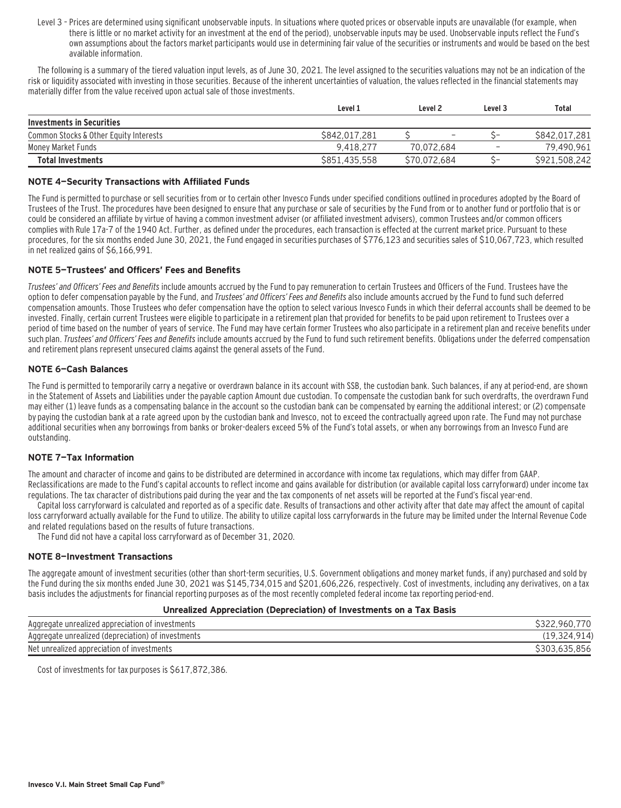Level 3 – Prices are determined using significant unobservable inputs. In situations where quoted prices or observable inputs are unavailable (for example, when there is little or no market activity for an investment at the end of the period), unobservable inputs may be used. Unobservable inputs reflect the Fund's own assumptions about the factors market participants would use in determining fair value of the securities or instruments and would be based on the best available information.

The following is a summary of the tiered valuation input levels, as of June 30, 2021. The level assigned to the securities valuations may not be an indication of the risk or liquidity associated with investing in those securities. Because of the inherent uncertainties of valuation, the values reflected in the financial statements may materially differ from the value received upon actual sale of those investments.

|                                        | Level 1       | Level 2                  |                          | Total         |
|----------------------------------------|---------------|--------------------------|--------------------------|---------------|
| Investments in Securities              |               |                          |                          |               |
| Common Stocks & Other Equity Interests | \$842,017,281 | $\overline{\phantom{a}}$ | ~-                       | S842.017.281  |
| Money Market Funds                     | 9.418.277     | 70.072.684               | $\overline{\phantom{a}}$ | 79,490,961    |
| <b>Total Investments</b>               | \$851,435,558 | S70.072.684              | ~-                       | \$921,508,242 |

#### **NOTE 4—Security Transactions with Affiliated Funds**

The Fund is permitted to purchase or sell securities from or to certain other Invesco Funds under specified conditions outlined in procedures adopted by the Board of Trustees of the Trust. The procedures have been designed to ensure that any purchase or sale of securities by the Fund from or to another fund or portfolio that is or could be considered an affiliate by virtue of having a common investment adviser (or affiliated investment advisers), common Trustees and/or common officers complies with Rule 17a-7 of the 1940 Act. Further, as defined under the procedures, each transaction is effected at the current market price. Pursuant to these procedures, for the six months ended June 30, 2021, the Fund engaged in securities purchases of \$776,123 and securities sales of \$10,067,723, which resulted in net realized gains of \$6,166,991.

#### **NOTE 5—Trustees' and Officers' Fees and Benefits**

Trustees' and Officers' Fees and Benefits include amounts accrued by the Fund to pay remuneration to certain Trustees and Officers of the Fund. Trustees have the option to defer compensation payable by the Fund, and Trustees' and Officers' Fees and Benefits also include amounts accrued by the Fund to fund such deferred compensation amounts. Those Trustees who defer compensation have the option to select various Invesco Funds in which their deferral accounts shall be deemed to be invested. Finally, certain current Trustees were eligible to participate in a retirement plan that provided for benefits to be paid upon retirement to Trustees over a period of time based on the number of years of service. The Fund may have certain former Trustees who also participate in a retirement plan and receive benefits under such plan. Trustees' and Officers' Fees and Benefits include amounts accrued by the Fund to fund such retirement benefits. Obligations under the deferred compensation and retirement plans represent unsecured claims against the general assets of the Fund.

#### **NOTE 6—Cash Balances**

The Fund is permitted to temporarily carry a negative or overdrawn balance in its account with SSB, the custodian bank. Such balances, if any at period-end, are shown in the Statement of Assets and Liabilities under the payable caption Amount due custodian. To compensate the custodian bank for such overdrafts, the overdrawn Fund may either (1) leave funds as a compensating balance in the account so the custodian bank can be compensated by earning the additional interest; or (2) compensate by paying the custodian bank at a rate agreed upon by the custodian bank and Invesco, not to exceed the contractually agreed upon rate. The Fund may not purchase additional securities when any borrowings from banks or broker-dealers exceed 5% of the Fund's total assets, or when any borrowings from an Invesco Fund are outstanding.

#### **NOTE 7—Tax Information**

The amount and character of income and gains to be distributed are determined in accordance with income tax regulations, which may differ from GAAP. Reclassifications are made to the Fund's capital accounts to reflect income and gains available for distribution (or available capital loss carryforward) under income tax regulations. The tax character of distributions paid during the year and the tax components of net assets will be reported at the Fund's fiscal year-end.

Capital loss carryforward is calculated and reported as of a specific date. Results of transactions and other activity after that date may affect the amount of capital loss carryforward actually available for the Fund to utilize. The ability to utilize capital loss carryforwards in the future may be limited under the Internal Revenue Code and related regulations based on the results of future transactions.

The Fund did not have a capital loss carryforward as of December 31, 2020.

#### **NOTE 8—Investment Transactions**

The aggregate amount of investment securities (other than short-term securities, U.S. Government obligations and money market funds, if any) purchased and sold by the Fund during the six months ended June 30, 2021 was \$145,734,015 and \$201,606,226, respectively. Cost of investments, including any derivatives, on a tax basis includes the adjustments for financial reporting purposes as of the most recently completed federal income tax reporting period-end.

#### **Unrealized Appreciation (Depreciation) of Investments on a Tax Basis**

| Net unrealized appreciation of investments         | .856  |
|----------------------------------------------------|-------|
| Aggregate unrealized (depreciation) of investments | .914) |
| Aggregate unrealized appreciation of investments   |       |

Cost of investments for tax purposes is \$617,872,386.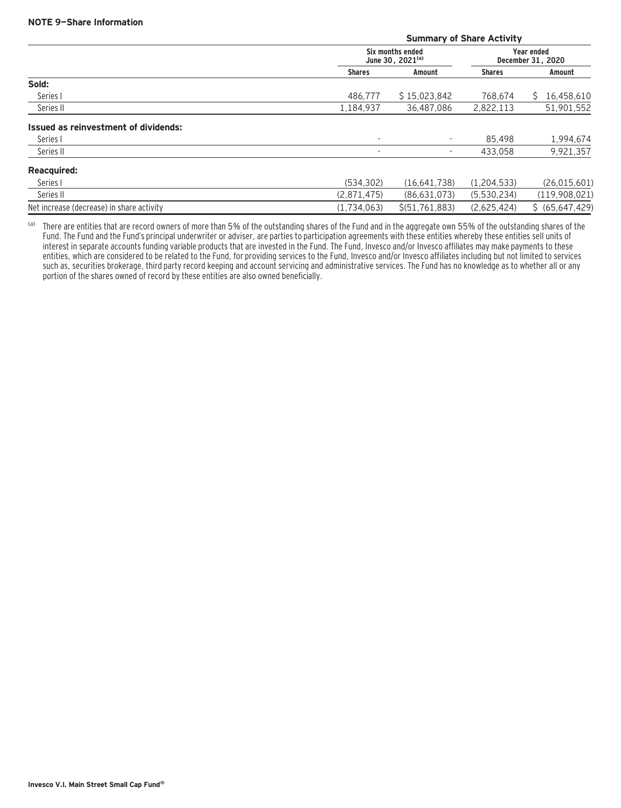|                                             | <b>Summary of Share Activity</b>                 |                   |                                 |                   |
|---------------------------------------------|--------------------------------------------------|-------------------|---------------------------------|-------------------|
|                                             | Six months ended<br>June 30, 2021 <sup>(a)</sup> |                   | Year ended<br>December 31, 2020 |                   |
|                                             | <b>Shares</b>                                    | Amount            | <b>Shares</b>                   | Amount            |
| Sold:                                       |                                                  |                   |                                 |                   |
| Series I                                    | 486.777                                          | \$15,023,842      | 768.674                         | 16,458,610<br>S.  |
| Series II                                   | 1,184,937                                        | 36.487.086        | 2,822,113                       | 51,901,552        |
| <b>Issued as reinvestment of dividends:</b> |                                                  |                   |                                 |                   |
| Series I                                    | $\overline{\phantom{a}}$                         |                   | 85.498                          | 1,994,674         |
| Series II                                   | $\overline{\phantom{a}}$                         | ۰.                | 433.058                         | 9,921,357         |
| <b>Reacquired:</b>                          |                                                  |                   |                                 |                   |
| Series I                                    | (534.302)                                        | (16.641.738)      | (1, 204, 533)                   | (26, 015, 601)    |
| Series II                                   | (2,871,475)                                      | (86,631,073)      | (5,530,234)                     | (119,908,021)     |
| Net increase (decrease) in share activity   | (1,734,063)                                      | \$ (51, 761, 883) | (2,625,424)                     | \$ (65, 647, 429) |

(a) There are entities that are record owners of more than 5% of the outstanding shares of the Fund and in the aggregate own 55% of the outstanding shares of the Fund. The Fund and the Fund's principal underwriter or adviser, are parties to participation agreements with these entities whereby these entities sell units of interest in separate accounts funding variable products that are invested in the Fund. The Fund, Invesco and/or Invesco affiliates may make payments to these entities, which are considered to be related to the Fund, for providing services to the Fund, Invesco and/or Invesco affiliates including but not limited to services such as, securities brokerage, third party record keeping and account servicing and administrative services. The Fund has no knowledge as to whether all or any portion of the shares owned of record by these entities are also owned beneficially.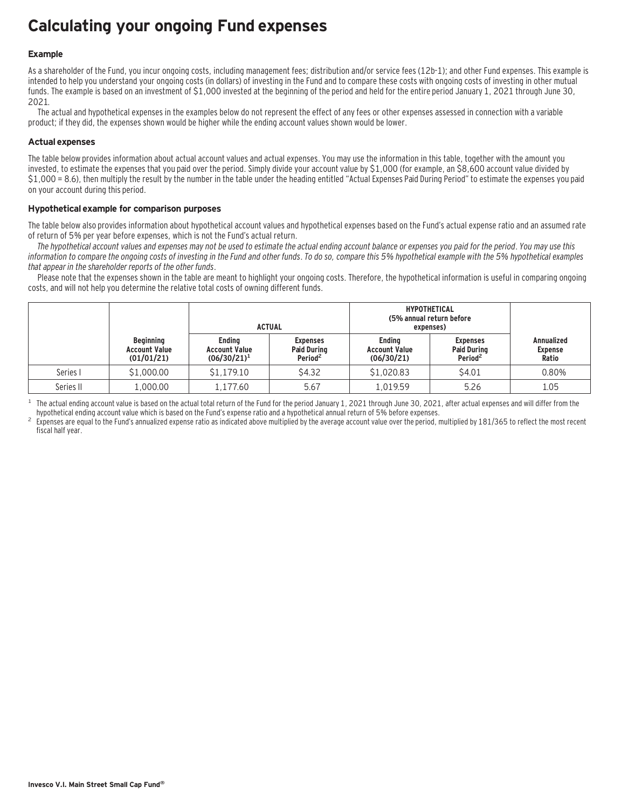### **Calculating your ongoing Fund expenses**

#### **Example**

As a shareholder of the Fund, you incur ongoing costs, including management fees; distribution and/or service fees (12b-1); and other Fund expenses. This example is intended to help you understand your ongoing costs (in dollars) of investing in the Fund and to compare these costs with ongoing costs of investing in other mutual funds. The example is based on an investment of \$1,000 invested at the beginning of the period and held for the entire period January 1, 2021 through June 30, 2021.

The actual and hypothetical expenses in the examples below do not represent the effect of any fees or other expenses assessed in connection with a variable product; if they did, the expenses shown would be higher while the ending account values shown would be lower.

#### **Actual expenses**

The table below provides information about actual account values and actual expenses. You may use the information in this table, together with the amount you invested, to estimate the expenses that you paid over the period. Simply divide your account value by \$1,000 (for example, an \$8,600 account value divided by \$1,000 = 8.6), then multiply the result by the number in the table under the heading entitled "Actual Expenses Paid During Period" to estimate the expenses you paid on your account during this period.

#### **Hypothetical example for comparison purposes**

The table below also provides information about hypothetical account values and hypothetical expenses based on the Fund's actual expense ratio and an assumed rate of return of 5% per year before expenses, which is not the Fund's actual return.

The hypothetical account values and expenses may not be used to estimate the actual ending account balance or expenses you paid for the period. You may use this information to compare the ongoing costs of investing in the Fund and other funds. To do so, compare this 5% hypothetical example with the 5% hypothetical examples that appear in the shareholder reports of the other funds.

Please note that the expenses shown in the table are meant to highlight your ongoing costs. Therefore, the hypothetical information is useful in comparing ongoing costs, and will not help you determine the relative total costs of owning different funds.

|           |                                                        | <b>ACTUAL</b>                                           |                                                              | <b>HYPOTHETICAL</b><br>(5% annual return before<br>expenses) |                                                              |                                              |
|-----------|--------------------------------------------------------|---------------------------------------------------------|--------------------------------------------------------------|--------------------------------------------------------------|--------------------------------------------------------------|----------------------------------------------|
|           | <b>Beginning</b><br><b>Account Value</b><br>(01/01/21) | <b>Endina</b><br><b>Account Value</b><br>$(06/30/21)^1$ | <b>Expenses</b><br><b>Paid During</b><br>Period <sup>2</sup> | <b>Endina</b><br><b>Account Value</b><br>(06/30/21)          | <b>Expenses</b><br><b>Paid During</b><br>Period <sup>2</sup> | <b>Annualized</b><br><b>Expense</b><br>Ratio |
| Series I  | \$1,000.00                                             | \$1,179.10                                              | \$4.32                                                       | \$1,020.83                                                   | \$4.01                                                       | 0.80%                                        |
| Series II | 1,000.00                                               | 1.177.60                                                | 5.67                                                         | L.019.59                                                     | 5.26                                                         | 1.05                                         |

<sup>1</sup> The actual ending account value is based on the actual total return of the Fund for the period January 1, 2021 through June 30, 2021, after actual expenses and will differ from the hund's expense ratio and a hypothetic

Expenses are equal to the Fund's annualized expense ratio as indicated above multiplied by the average account value over the period, multiplied by 181/365 to reflect the most recent fiscal half year.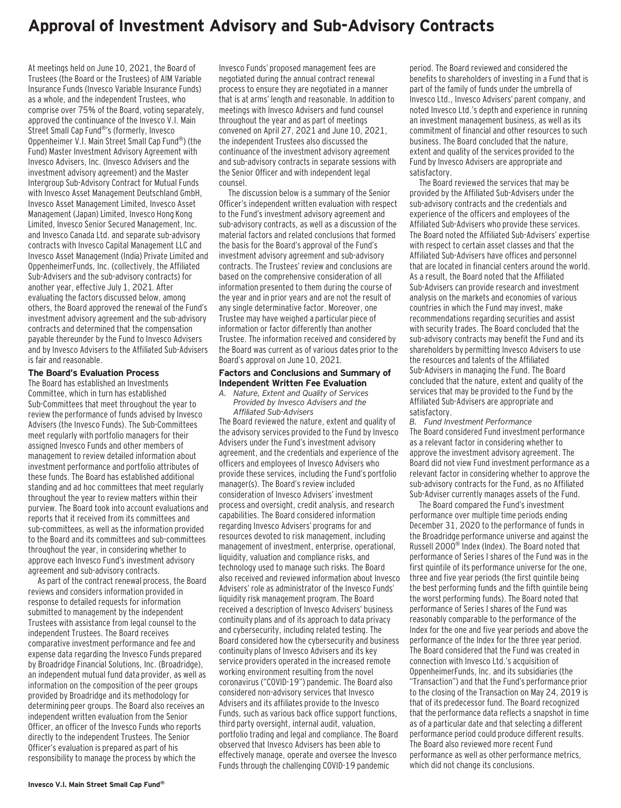### **Approval of Investment Advisory and Sub-Advisory Contracts**

At meetings held on June 10, 2021, the Board of Trustees (the Board or the Trustees) of AIM Variable Insurance Funds (Invesco Variable Insurance Funds) as a whole, and the independent Trustees, who comprise over 75% of the Board, voting separately, approved the continuance of the Invesco V.I. Main Street Small Cap Fund® 's (formerly, Invesco Oppenheimer V.I. Main Street Small Cap Fund® ) (the Fund) Master Investment Advisory Agreement with Invesco Advisers, Inc. (Invesco Advisers and the investment advisory agreement) and the Master Intergroup Sub-Advisory Contract for Mutual Funds with Invesco Asset Management Deutschland GmbH, Invesco Asset Management Limited, Invesco Asset Management (Japan) Limited, Invesco Hong Kong Limited, Invesco Senior Secured Management, Inc. and Invesco Canada Ltd. and separate sub-advisory contracts with Invesco Capital Management LLC and Invesco Asset Management (India) Private Limited and OppenheimerFunds, Inc. (collectively, the Affiliated Sub-Advisers and the sub-advisory contracts) for another year, effective July 1, 2021. After evaluating the factors discussed below, among others, the Board approved the renewal of the Fund's investment advisory agreement and the sub-advisory contracts and determined that the compensation payable thereunder by the Fund to Invesco Advisers and by Invesco Advisers to the Affiliated Sub-Advisers is fair and reasonable.

#### **The Board's Evaluation Process**

The Board has established an Investments Committee, which in turn has established Sub-Committees that meet throughout the year to review the performance of funds advised by Invesco Advisers (the Invesco Funds). The Sub-Committees meet regularly with portfolio managers for their assigned Invesco Funds and other members of management to review detailed information about investment performance and portfolio attributes of these funds. The Board has established additional standing and ad hoc committees that meet regularly throughout the year to review matters within their purview. The Board took into account evaluations and reports that it received from its committees and sub-committees, as well as the information provided to the Board and its committees and sub-committees throughout the year, in considering whether to approve each Invesco Fund's investment advisory agreement and sub-advisory contracts.

As part of the contract renewal process, the Board reviews and considers information provided in response to detailed requests for information submitted to management by the independent Trustees with assistance from legal counsel to the independent Trustees. The Board receives comparative investment performance and fee and expense data regarding the Invesco Funds prepared by Broadridge Financial Solutions, Inc. (Broadridge), an independent mutual fund data provider, as well as information on the composition of the peer groups provided by Broadridge and its methodology for determining peer groups. The Board also receives an independent written evaluation from the Senior Officer, an officer of the Invesco Funds who reports directly to the independent Trustees. The Senior Officer's evaluation is prepared as part of his responsibility to manage the process by which the

Invesco Funds' proposed management fees are negotiated during the annual contract renewal process to ensure they are negotiated in a manner that is at arms' length and reasonable. In addition to meetings with Invesco Advisers and fund counsel throughout the year and as part of meetings convened on April 27, 2021 and June 10, 2021, the independent Trustees also discussed the continuance of the investment advisory agreement and sub-advisory contracts in separate sessions with the Senior Officer and with independent legal counsel.

The discussion below is a summary of the Senior Officer's independent written evaluation with respect to the Fund's investment advisory agreement and sub-advisory contracts, as well as a discussion of the material factors and related conclusions that formed the basis for the Board's approval of the Fund's investment advisory agreement and sub-advisory contracts. The Trustees' review and conclusions are based on the comprehensive consideration of all information presented to them during the course of the year and in prior years and are not the result of any single determinative factor. Moreover, one Trustee may have weighed a particular piece of information or factor differently than another Trustee. The information received and considered by the Board was current as of various dates prior to the Board's approval on June 10, 2021.

#### **Factors and Conclusions and Summary of Independent Written Fee Evaluation**

*A. Nature, Extent and Quality of Services Provided by Invesco Advisers and the Affiliated Sub-Advisers*

The Board reviewed the nature, extent and quality of the advisory services provided to the Fund by Invesco Advisers under the Fund's investment advisory agreement, and the credentials and experience of the officers and employees of Invesco Advisers who provide these services, including the Fund's portfolio manager(s). The Board's review included consideration of Invesco Advisers' investment process and oversight, credit analysis, and research capabilities. The Board considered information regarding Invesco Advisers' programs for and resources devoted to risk management, including management of investment, enterprise, operational, liquidity, valuation and compliance risks, and technology used to manage such risks. The Board also received and reviewed information about Invesco Advisers' role as administrator of the Invesco Funds' liquidity risk management program. The Board received a description of Invesco Advisers' business continuity plans and of its approach to data privacy and cybersecurity, including related testing. The Board considered how the cybersecurity and business continuity plans of Invesco Advisers and its key service providers operated in the increased remote working environment resulting from the novel coronavirus ("COVID-19") pandemic. The Board also considered non-advisory services that Invesco Advisers and its affiliates provide to the Invesco Funds, such as various back office support functions, third party oversight, internal audit, valuation, portfolio trading and legal and compliance. The Board observed that Invesco Advisers has been able to effectively manage, operate and oversee the Invesco Funds through the challenging COVID-19 pandemic

period. The Board reviewed and considered the benefits to shareholders of investing in a Fund that is part of the family of funds under the umbrella of Invesco Ltd., Invesco Advisers' parent company, and noted Invesco Ltd.'s depth and experience in running an investment management business, as well as its commitment of financial and other resources to such business. The Board concluded that the nature, extent and quality of the services provided to the Fund by Invesco Advisers are appropriate and satisfactory.

The Board reviewed the services that may be provided by the Affiliated Sub-Advisers under the sub-advisory contracts and the credentials and experience of the officers and employees of the Affiliated Sub-Advisers who provide these services. The Board noted the Affiliated Sub-Advisers' expertise with respect to certain asset classes and that the Affiliated Sub-Advisers have offices and personnel that are located in financial centers around the world. As a result, the Board noted that the Affiliated Sub-Advisers can provide research and investment analysis on the markets and economies of various countries in which the Fund may invest, make recommendations regarding securities and assist with security trades. The Board concluded that the sub-advisory contracts may benefit the Fund and its shareholders by permitting Invesco Advisers to use the resources and talents of the Affiliated Sub-Advisers in managing the Fund. The Board concluded that the nature, extent and quality of the services that may be provided to the Fund by the Affiliated Sub-Advisers are appropriate and satisfactory.

*B. Fund Investment Performance* The Board considered Fund investment performance as a relevant factor in considering whether to approve the investment advisory agreement. The Board did not view Fund investment performance as a relevant factor in considering whether to approve the sub-advisory contracts for the Fund, as no Affiliated Sub-Adviser currently manages assets of the Fund.

The Board compared the Fund's investment performance over multiple time periods ending December 31, 2020 to the performance of funds in the Broadridge performance universe and against the Russell 2000® Index (Index). The Board noted that performance of Series I shares of the Fund was in the first quintile of its performance universe for the one, three and five year periods (the first quintile being the best performing funds and the fifth quintile being the worst performing funds). The Board noted that performance of Series I shares of the Fund was reasonably comparable to the performance of the Index for the one and five year periods and above the performance of the Index for the three year period. The Board considered that the Fund was created in connection with Invesco Ltd.'s acquisition of OppenheimerFunds, Inc. and its subsidiaries (the "Transaction") and that the Fund's performance prior to the closing of the Transaction on May 24, 2019 is that of its predecessor fund. The Board recognized that the performance data reflects a snapshot in time as of a particular date and that selecting a different performance period could produce different results. The Board also reviewed more recent Fund performance as well as other performance metrics, which did not change its conclusions.